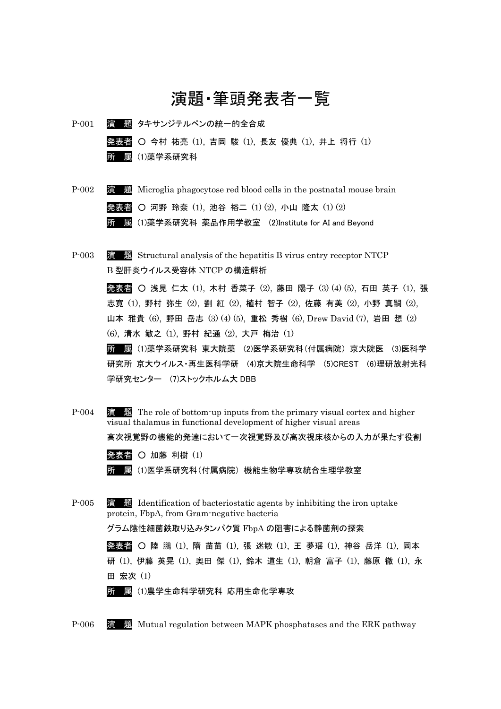## 演題・筆頭発表者一覧

P-001 演 題 タキサンジテルペンの統一的全合成 発表者 ○ 今村 祐亮 (1), 吉岡 駿 (1), 長友 優典 (1), 井上 将行 (1) 所 属 (1)薬学系研究科

- P-002 **演 題** Microglia phagocytose red blood cells in the postnatal mouse brain 発表者 ○ 河野 玲奈 (1), 池谷 裕二 (1) (2), 小山 隆太 (1) (2) 所 属 (1)薬学系研究科 薬品作用学教室 (2)Institute for AI and Beyond
- P-003 演 題 Structural analysis of the hepatitis B virus entry receptor NTCP B 型肝炎ウイルス受容体 NTCP の構造解析 発表者 ○ 浅見 仁太 (1), 木村 香菜子 (2), 藤田 陽子 (3) (4) (5), 石田 英子 (1), 張 志寛 (1), 野村 弥生 (2), 劉 紅 (2), 植村 智子 (2), 佐藤 有美 (2), 小野 真嗣 (2), 山本 雅貴 (6), 野田 岳志 (3) (4) (5), 重松 秀樹 (6), Drew David (7), 岩田 想 (2) (6), 清水 敏之 (1), 野村 紀通 (2), 大戸 梅治 (1) 所 属 (1)薬学系研究科 東大院薬 (2)医学系研究科(付属病院) 京大院医 (3)医科学 研究所 京大ウイルス・再生医科学研 (4)京大院生命科学 (5)CREST (6)理研放射光科 学研究センター (7)ストックホルム大 DBB
- P-004 演 題 The role of bottom-up inputs from the primary visual cortex and higher visual thalamus in functional development of higher visual areas 高次視覚野の機能的発達において一次視覚野及び高次視床核からの入力が果たす役割 発表者 〇 加藤 利樹 (1) 所 属 (1)医学系研究科(付属病院) 機能生物学専攻統合生理学教室 P-005 演 題 Identification of bacteriostatic agents by inhibiting the iron uptake protein, FbpA, from Gram-negative bacteria

グラム陰性細菌鉄取り込みタンパク質 FbpA の阻害による静菌剤の探索

発表者 ○ 陸 鵬 (1), 隋 苗苗 (1), 張 迷敏 (1), 王 夢瑶 (1), 神谷 岳洋 (1), 岡本 研 (1), 伊藤 英晃 (1), 奥田 傑 (1), 鈴木 道生 (1), 朝倉 富子 (1), 藤原 徹 (1), 永 田 宏次 (1)

所 属 (1)農学生命科学研究科 応用生命化学専攻

P-006 演 題 Mutual regulation between MAPK phosphatases and the ERK pathway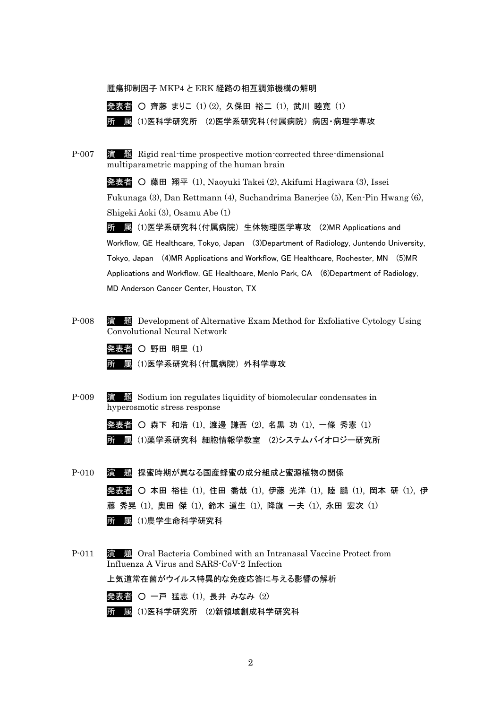## 腫瘍抑制因子 MKP4 と ERK 経路の相互調節機構の解明



P-007 演 題 Rigid real-time prospective motion-corrected three-dimensional multiparametric mapping of the human brain

> 発表者 ○ 藤田 翔平 (1), Naoyuki Takei (2), Akifumi Hagiwara (3), Issei Fukunaga (3), Dan Rettmann (4), Suchandrima Banerjee (5), Ken-Pin Hwang (6), Shigeki Aoki (3), Osamu Abe (1)

> 所 属 (1)医学系研究科(付属病院) 生体物理医学専攻 (2)MR Applications and Workflow, GE Healthcare, Tokyo, Japan (3)Department of Radiology, Juntendo University, Tokyo, Japan (4)MR Applications and Workflow, GE Healthcare, Rochester, MN (5)MR Applications and Workflow, GE Healthcare, Menlo Park, CA (6)Department of Radiology, MD Anderson Cancer Center, Houston, TX

- P-008 演 題 Development of Alternative Exam Method for Exfoliative Cytology Using Convolutional Neural Network
	- 発表者 〇 野田 明里 (1)

所 属 (1)医学系研究科(付属病院) 外科学専攻

P-009 演 題 Sodium ion regulates liquidity of biomolecular condensates in hyperosmotic stress response

> 発表者 ○ 森下 和浩 (1), 渡邊 謙吾 (2), 名黒 功 (1), 一條 秀憲 (1) 所 属 (1)薬学系研究科 細胞情報学教室 (2)システムバイオロジー研究所

- P-010 演 題 採蜜時期が異なる国産蜂蜜の成分組成と蜜源植物の関係 発表者 ○ 本田 裕佳 (1), 住田 喬哉 (1), 伊藤 光洋 (1), 陸 鵬 (1), 岡本 研 (1), 伊 藤 秀晃 (1), 奥田 傑 (1), 鈴木 道生 (1), 降旗 一夫 (1), 永田 宏次 (1) 所 属 (1)農学生命科学研究科
- P-011 演 題 Oral Bacteria Combined with an Intranasal Vaccine Protect from Influenza A Virus and SARS-CoV-2 Infection 上気道常在菌がウイルス特異的な免疫応答に与える影響の解析 発表者 ○ 一戸 猛志 (1), 長井 みなみ (2) 所 属 (1)医科学研究所 (2)新領域創成科学研究科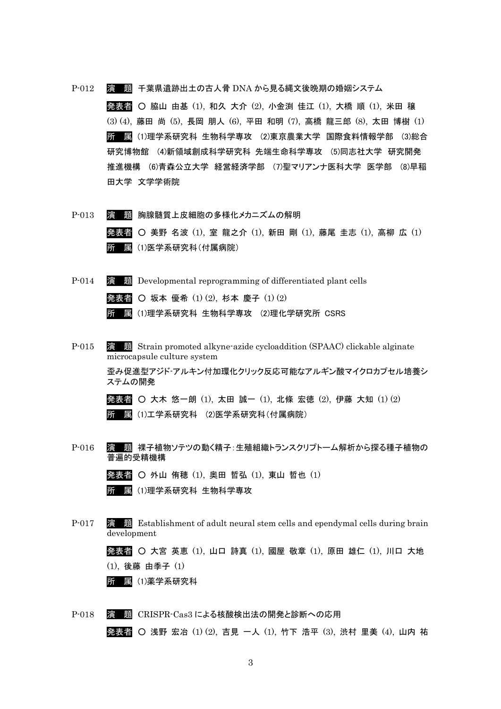P-012 演 題 千葉県遺跡出土の古人骨 DNA から見る縄文後晩期の婚姻システム 発表者 ○ 脇山 由基 (1), 和久 大介 (2), 小金渕 佳江 (1), 大橋 順 (1), 米田 穣 (3) (4), 藤田 尚 (5), 長岡 朋人 (6), 平田 和明 (7), 高橋 龍三郎 (8), 太田 博樹 (1) 所 属 (1)理学系研究科 生物科学専攻 (2)東京農業大学 国際食料情報学部 (3)総合 研究博物館 (4)新領域創成科学研究科 先端生命科学専攻 (5)同志社大学 研究開発 推進機構 (6)青森公立大学 経営経済学部 (7)聖マリアンナ医科大学 医学部 (8)早稲 田大学 文学学術院

- P-013 演 題 胸腺髄質上皮細胞の多様化メカニズムの解明 発表者 ○ 美野 名波 (1), 室 龍之介 (1), 新田 剛 (1), 藤尾 圭志 (1), 高柳 広 (1) 所 属 (1)医学系研究科(付属病院)
- P-014 演 題 Developmental reprogramming of differentiated plant cells 発表者 ○ 坂本 優希 (1) (2), 杉本 慶子 (1) (2) 所 属 (1)理学系研究科 生物科学専攻 (2)理化学研究所 CSRS
- P-015 演 題 Strain promoted alkyne-azide cycloaddition (SPAAC) clickable alginate microcapsule culture system 歪み促進型アジド-アルキン付加環化クリック反応可能なアルギン酸マイクロカプセル培養シ ステムの開発 発表者 ○ 大木 悠一朗 (1), 太田 誠一 (1), 北條 宏徳 (2), 伊藤 大知 (1) (2) 所 属 (1)工学系研究科 (2)医学系研究科(付属病院)
- P-016 演 題 裸子植物ソテツの動く精子:生殖組織トランスクリプトーム解析から探る種子植物の 普遍的受精機構

発表者 ○ 外山 侑穂 (1), 奥田 哲弘 (1), 東山 哲也 (1) 所 属 (1)理学系研究科 生物科学専攻

P-017 演 題 Establishment of adult neural stem cells and ependymal cells during brain development

発表者 ○ 大宮 英恵 (1), 山口 詩真 (1), 國屋 敬章 (1), 原田 雄仁 (1), 川口 大地 (1), 後藤 由季子 (1)

所 属 (1)薬学系研究科

P-018 演 題 CRISPR-Cas3 による核酸検出法の開発と診断への応用 発表者 ○ 浅野 宏冶 (1) (2), 吉見 一人 (1), 竹下 浩平 (3), 渋村 里美 (4), 山内 祐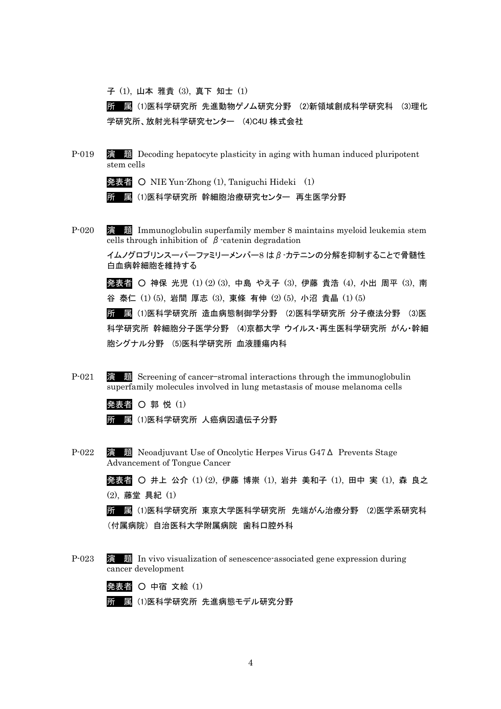子 (1), 山本 雅貴 (3), 真下 知士 (1)

所 属 (1)医科学研究所 先進動物ゲノム研究分野 (2)新領域創成科学研究科 (3)理化 学研究所、放射光科学研究センター (4)C4U 株式会社

P-019 演 題 Decoding hepatocyte plasticity in aging with human induced pluripotent stem cells

発表者 〇 NIE Yun-Zhong (1), Taniguchi Hideki (1)

所 属 (1)医科学研究所 幹細胞治療研究センター 再生医学分野

P-020 演 題 Immunoglobulin superfamily member 8 maintains myeloid leukemia stem cells through inhibition of  $\beta$ -catenin degradation

> イムノグロブリンスーパーファミリーメンバー8 はβ-カテニンの分解を抑制することで骨髄性 白血病幹細胞を維持する

> 発表者 ○ 神保 光児 (1) (2) (3), 中島 やえ子 (3), 伊藤 貴浩 (4), 小出 周平 (3), 南 谷 泰仁 (1) (5), 岩間 厚志 (3), 東條 有伸 (2) (5), 小沼 貴晶 (1) (5)

> 所 属 (1)医科学研究所 造血病態制御学分野 (2)医科学研究所 分子療法分野 (3)医 科学研究所 幹細胞分子医学分野 (4)京都大学 ウイルス・再生医科学研究所 がん・幹細 胞シグナル分野 (5)医科学研究所 血液腫瘍内科

P-021 演 題 Screening of cancer–stromal interactions through the immunoglobulin superfamily molecules involved in lung metastasis of mouse melanoma cells

発表者 〇 郭 悦 (1)

所 属 (1)医科学研究所 人癌病因遺伝子分野

P-022 演 題 Neoadjuvant Use of Oncolytic Herpes Virus G47Δ Prevents Stage Advancement of Tongue Cancer

> 発表者 ○ 井上 公介 (1) (2), 伊藤 博崇 (1), 岩井 美和子 (1), 田中 実 (1), 森 良之 (2), 藤堂 具紀 (1)

> 所 属 (1)医科学研究所 東京大学医科学研究所 先端がん治療分野 (2)医学系研究科 (付属病院) 自治医科大学附属病院 歯科口腔外科

P-023 演 題 In vivo visualization of senescence-associated gene expression during cancer development

発表者 〇 中宿 文絵 (1)

所 属 (1)医科学研究所 先進病態モデル研究分野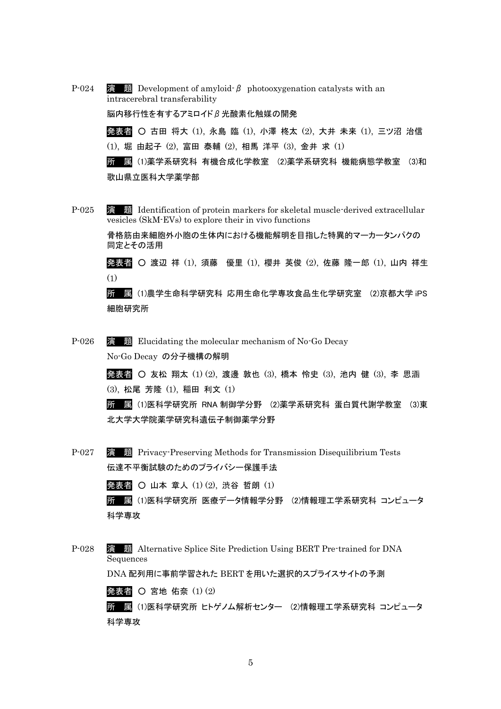P-024  $\overline{3}$  **题** Development of amyloid-β photooxygenation catalysts with an intracerebral transferability 脳内移行性を有するアミロイドβ光酸素化触媒の開発 発表者 ○ 古田 将大 (1), 永島 臨 (1), 小澤 柊太 (2), 大井 未来 (1), 三ツ沼 治信 (1), 堀 由起子 (2), 富田 泰輔 (2), 相馬 洋平 (3), 金井 求 (1) 所 属 (1)薬学系研究科 有機合成化学教室 (2)薬学系研究科 機能病態学教室 (3)和 歌山県立医科大学薬学部

P-025 演 題 Identification of protein markers for skeletal muscle-derived extracellular vesicles (SkM-EVs) to explore their in vivo functions

> 骨格筋由来細胞外小胞の生体内における機能解明を目指した特異的マーカータンパクの 同定とその活用

発表者 ○ 渡辺 祥 (1), 須藤 優里 (1), 櫻井 英俊 (2), 佐藤 隆一郎 (1), 山内 祥生 (1)

所 属 (1)農学生命科学研究科 応用生命化学専攻食品生化学研究室 (2)京都大学 iPS 細胞研究所

P-026 演 題 Elucidating the molecular mechanism of No-Go Decay No-Go Decay の分子機構の解明

> 発表者 ○ 友松 翔太 (1) (2), 渡邊 敦也 (3), 橋本 怜史 (3), 池内 健 (3), 李 思涵 (3), 松尾 芳隆 (1), 稲田 利文 (1)

所 属 (1)医科学研究所 RNA 制御学分野 (2)薬学系研究科 蛋白質代謝学教室 (3)東 北大学大学院薬学研究科遺伝子制御薬学分野

P-027 演 題 Privacy-Preserving Methods for Transmission Disequilibrium Tests 伝達不平衡試験のためのプライバシー保護手法

発表者 ○ 山本 章人 (1) (2), 渋谷 哲朗 (1)

所 属 (1)医科学研究所 医療データ情報学分野 (2)情報理工学系研究科 コンピュータ 科学専攻

P-028 演 題 Alternative Splice Site Prediction Using BERT Pre-trained for DNA Sequences

DNA 配列用に事前学習された BERT を用いた選択的スプライスサイトの予測

発表者 〇 宮地 佑奈  $(1)$  $(2)$ 

所 属 (1)医科学研究所 ヒトゲノム解析センター (2)情報理工学系研究科 コンピュータ 科学専攻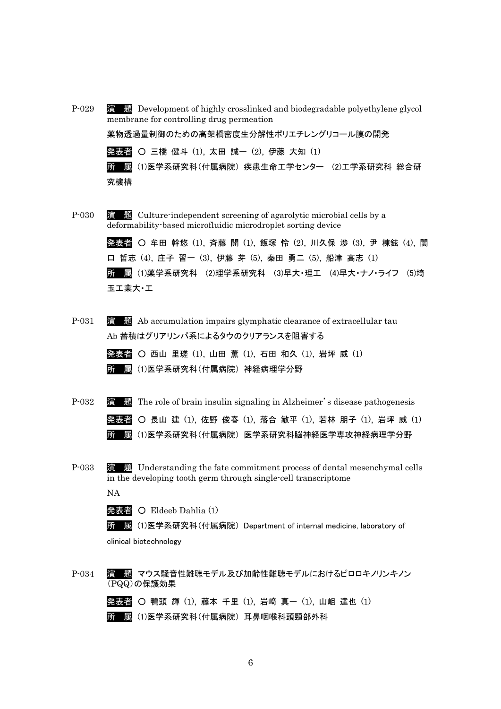- P-029 演 題 Development of highly crosslinked and biodegradable polyethylene glycol membrane for controlling drug permeation 薬物透過量制御のための高架橋密度生分解性ポリエチレングリコール膜の開発 発表者 ○ 三橋 健斗 (1), 太田 誠一 (2), 伊藤 大知 (1) 所 属 (1)医学系研究科(付属病院) 疾患生命工学センター (2)工学系研究科 総合研 究機構
- P-030 演 題 Culture-independent screening of agarolytic microbial cells by a deformability-based microfluidic microdroplet sorting device 発表者 ○ 牟田 幹悠 (1), 斉藤 開 (1), 飯塚 怜 (2), 川久保 渉 (3), 尹 棟鉉 (4), 関 口 哲志 (4), 庄子 習一 (3), 伊藤 芽 (5), 秦田 勇二 (5), 船津 高志 (1) 所 属 (1)薬学系研究科 (2)理学系研究科 (3)早大・理工 (4)早大・ナノ・ライフ (5)埼 玉工業大・工
- P-031 演 題 Ab accumulation impairs glymphatic clearance of extracellular tau Ab 蓄積はグリアリンパ系によるタウのクリアランスを阻害する
	- 発表者 西山 里瑳 (1), 山田 薫 (1), 石田 和久 (1), 岩坪 威 (1) 所 属 (1)医学系研究科(付属病院) 神経病理学分野
- P-032 演 題 The role of brain insulin signaling in Alzheimer's disease pathogenesis 発表者 ○ 長山 建 (1), 佐野 俊春 (1), 落合 敏平 (1), 若林 朋子 (1), 岩坪 威 (1) 所 属 (1)医学系研究科(付属病院) 医学系研究科脳神経医学専攻神経病理学分野
- P-033 演 題 Understanding the fate commitment process of dental mesenchymal cells in the developing tooth germ through single-cell transcriptome

NA

発表者 O Eldeeb Dahlia (1)

所 属 (1)医学系研究科(付属病院) Department of internal medicine, laboratory of clinical biotechnology

P-034 演 題 マウス騒音性難聴モデル及び加齢性難聴モデルにおけるピロロキノリンキノン (PQQ)の保護効果

発表者 〇 鴨頭 輝 (1), 藤本 千里 (1), 岩﨑 真一 (1), 山岨 達也 (1) 所 属 (1)医学系研究科(付属病院) 耳鼻咽喉科頭頸部外科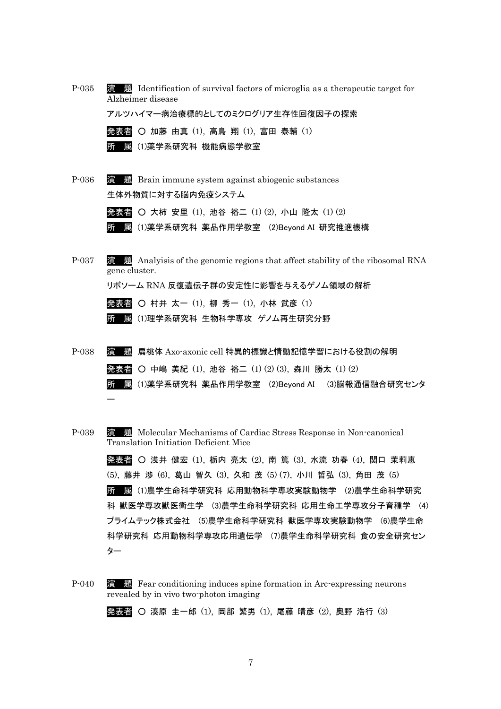P-035 演 題 Identification of survival factors of microglia as a therapeutic target for Alzheimer disease

アルツハイマー病治療標的としてのミクログリア生存性回復因子の探索

発表者 ○ 加藤 由真 (1), 高鳥 翔 (1), 富田 泰輔 (1) 所 属 (1)薬学系研究科 機能病態学教室

P-036 演 題 Brain immune system against abiogenic substances 生体外物質に対する脳内免疫システム

> 発表者 ○ 大柿 安里 (1), 池谷 裕二 (1) (2), 小山 隆太 (1) (2) 所 属 (1)薬学系研究科 薬品作用学教室 (2)Beyond AI 研究推進機構

- P-037 演 題 Analyisis of the genomic regions that affect stability of the ribosomal RNA gene cluster. リボソーム RNA 反復遺伝子群の安定性に影響を与えるゲノム領域の解析 発表者 〇 村井 太一 (1), 柳 秀一 (1), 小林 武彦 (1) 所 属 (1)理学系研究科 生物科学専攻 ゲノム再生研究分野
- P-038 演 題 扁桃体 Axo-axonic cell 特異的標識と情動記憶学習における役割の解明 発表者 ○ 中嶋 美紀 (1), 池谷 裕二 (1) (2) (3), 森川 勝太 (1) (2) 所 属 (1)薬学系研究科 薬品作用学教室 (2)Beyond AI (3)脳報通信融合研究センタ ー

P-039 演 題 Molecular Mechanisms of Cardiac Stress Response in Non-canonical Translation Initiation Deficient Mice

> 発表者 ○ 浅井 健宏 (1), 栃内 亮太 (2), 南 篤 (3), 水流 功春 (4), 関口 茉莉恵 (5), 藤井 渉 (6), 葛山 智久 (3), 久和 茂 (5) (7), 小川 哲弘 (3), 角田 茂 (5) 所 属 (1)農学生命科学研究科 応用動物科学専攻実験動物学 (2)農学生命科学研究 科 獣医学専攻獣医衛生学 (3)農学生命科学研究科 応用生命工学専攻分子育種学 (4) プライムテック株式会社 (5)農学生命科学研究科 獣医学専攻実験動物学 (6)農学生命 科学研究科 応用動物科学専攻応用遺伝学 (7)農学生命科学研究科 食の安全研究セン ター

P-040 演 題 Fear conditioning induces spine formation in Arc-expressing neurons revealed by in vivo two-photon imaging

発表者 〇 湊原 圭一郎 (1), 岡部 繁男 (1), 尾藤 晴彦 (2), 奥野 浩行 (3)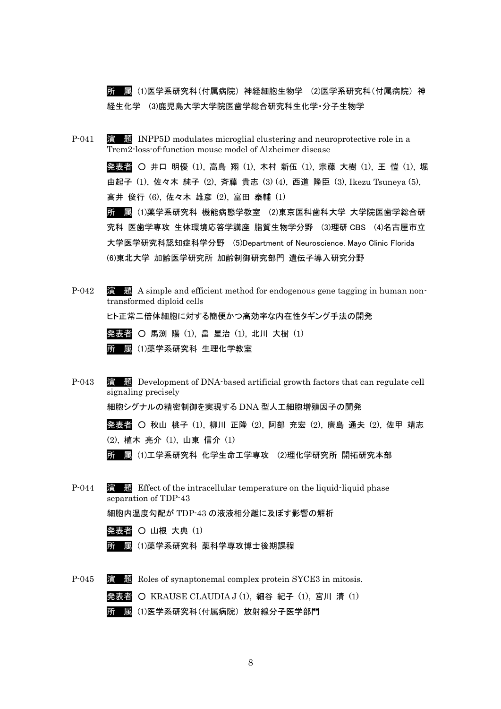所 属 (1)医学系研究科(付属病院) 神経細胞生物学 (2)医学系研究科(付属病院) 神 経生化学 (3)鹿児島大学大学院医歯学総合研究科生化学・分子生物学

P-041 **演 題 INPP5D** modulates microglial clustering and neuroprotective role in a Trem2-loss-of-function mouse model of Alzheimer disease

> 発表者 ○ 井口 明優 (1), 高鳥 翔 (1), 木村 新伍 (1), 宗藤 大樹 (1), 王 愷 (1), 堀 由起子 (1), 佐々木 純子 (2), 斉藤 貴志 (3) (4), 西道 隆臣 (3), Ikezu Tsuneya (5), 高井 俊行 (6), 佐々木 雄彦 (2), 富田 泰輔 (1)

> 所 属 (1)薬学系研究科 機能病態学教室 (2)東京医科歯科大学 大学院医歯学総合研 究科 医歯学専攻 生体環境応答学講座 脂質生物学分野 (3)理研 CBS (4)名古屋市立 大学医学研究科認知症科学分野 (5)Department of Neuroscience, Mayo Clinic Florida (6)東北大学 加齢医学研究所 加齢制御研究部門 遺伝子導入研究分野

- P-042 **演 題** A simple and efficient method for endogenous gene tagging in human nontransformed diploid cells ヒト正常二倍体細胞に対する簡便かつ高効率な内在性タギング手法の開発 発表者 ○ 馬渕 陽 (1), 畠 星治 (1), 北川 大樹 (1) 所 属 (1)薬学系研究科 生理化学教室
- P-043 演 題 Development of DNA-based artificial growth factors that can regulate cell signaling precisely 細胞シグナルの精密制御を実現する DNA 型人工細胞増殖因子の開発 発表者 ○ 秋山 桃子 (1), 柳川 正隆 (2), 阿部 充宏 (2), 廣島 通夫 (2), 佐甲 靖志

(2), 植木 亮介 (1), 山東 信介 (1)

所 属 (1)工学系研究科 化学生命工学専攻 (2)理化学研究所 開拓研究本部

P-044 演 題 Effect of the intracellular temperature on the liquid-liquid phase separation of TDP-43

細胞内温度勾配が TDP-43 の液液相分離に及ぼす影響の解析

発表者 〇 山根 大典 (1)

- 所 属 (1)薬学系研究科 薬科学専攻博士後期課程
- P-045 演 題 Roles of synaptonemal complex protein SYCE3 in mitosis. 発表者 ○ KRAUSE CLAUDIA J (1), 細谷 紀子 (1), 宮川 清 (1)

所 属 (1)医学系研究科(付属病院) 放射線分子医学部門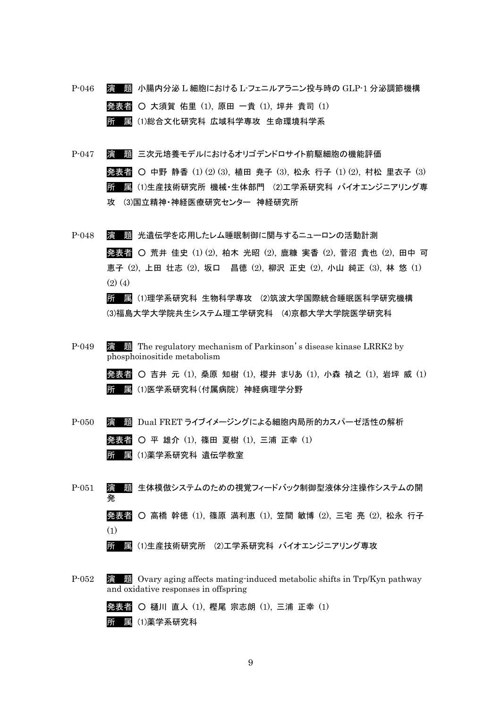- P-046 演 題 小腸内分泌 L 細胞における L-フェニルアラニン投与時の GLP-1 分泌調節機構 発表者 ○ 大須賀 佑里 (1), 原田 一貴 (1), 坪井 貴司 (1) 所 属 (1)総合文化研究科 広域科学専攻 生命環境科学系
- P-047 演 題 三次元培養モデルにおけるオリゴデンドロサイト前駆細胞の機能評価 発表者 ○ 中野 静香 (1) (2) (3), 植田 尭子 (3), 松永 行子 (1) (2), 村松 里衣子 (3) 所 属 (1)生産技術研究所 機械・生体部門 (2)工学系研究科 バイオエンジニアリング専 攻 (3)国立精神・神経医療研究センター 神経研究所
- P-048 演 題 光遺伝学を応用したレム睡眠制御に関与するニューロンの活動計測 発表者 ○ 荒井 佳史 (1) (2), 柏木 光昭 (2), 鹿糠 実香 (2), 菅沼 貴也 (2), 田中 可 恵子 (2), 上田 壮志 (2), 坂口 昌徳 (2), 柳沢 正史 (2), 小山 純正 (3), 林 悠 (1)  $(2)$   $(4)$

所 属 (1)理学系研究科 生物科学専攻 (2)筑波大学国際統合睡眠医科学研究機構 (3)福島大学大学院共生システム理工学研究科 (4)京都大学大学院医学研究科

P-049 演 題 The regulatory mechanism of Parkinson's disease kinase LRRK2 by phosphoinositide metabolism

> 発表者 ○ 吉井 元 (1), 桑原 知樹 (1), 櫻井 まりあ (1), 小森 禎之 (1), 岩坪 威 (1) 所 属 (1)医学系研究科(付属病院) 神経病理学分野

- P-050 演 題 Dual FRET ライブイメージングによる細胞内局所的カスパーゼ活性の解析 発表者 ○ 平 雄介 (1), 篠田 夏樹 (1), 三浦 正幸 (1) 所 属 (1)薬学系研究科 遺伝学教室
- P-051 演 題 生体模倣システムのための視覚フィードバック制御型液体分注操作システムの開 発 発表者 ○ 高橋 幹徳 (1), 篠原 満利恵 (1), 笠間 敏博 (2), 三宅 亮 (2), 松永 行子 (1) 所 属 (1)生産技術研究所 (2)工学系研究科 バイオエンジニアリング専攻
- P-052 演 題 Ovary aging affects mating-induced metabolic shifts in Trp/Kyn pathway and oxidative responses in offspring

発表者 ○ 樋川 直人 (1), 樫尾 宗志朗 (1), 三浦 正幸 (1) 所 属 (1)薬学系研究科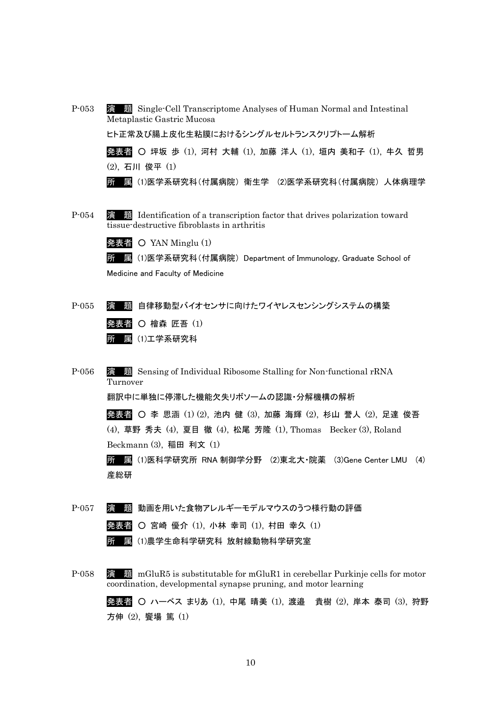- P-053 演 題 Single-Cell Transcriptome Analyses of Human Normal and Intestinal Metaplastic Gastric Mucosa ヒト正常及び腸上皮化生粘膜におけるシングルセルトランスクリプトーム解析 発表者 〇 坪坂 歩 (1), 河村 大輔 (1), 加藤 洋人 (1), 垣内 美和子 (1), 牛久 哲男 (2), 石川 俊平 (1) 所 属 (1)医学系研究科(付属病院) 衛生学 (2)医学系研究科(付属病院) 人体病理学
- P-054 演 題 Identification of a transcription factor that drives polarization toward tissue-destructive fibroblasts in arthritis

発表者 〇 YAN Minglu (1)

所 属 (1)医学系研究科(付属病院) Department of Immunology, Graduate School of Medicine and Faculty of Medicine

P-055 演 題 自律移動型バイオセンサに向けたワイヤレスセンシングシステムの構築 発表者 〇 檜森 匠吾 (1) 所 属 (1)工学系研究科

P-056 演 題 Sensing of Individual Ribosome Stalling for Non-functional rRNA Turnover

翻訳中に単独に停滞した機能欠失リボソームの認識・分解機構の解析

発表者 ○ 李 思涵 (1) (2), 池内 健 (3), 加藤 海輝 (2), 杉山 誉人 (2), 足達 俊吾 (4), 草野 秀夫 (4), 夏目 徹 (4), 松尾 芳隆 (1), Thomas Becker (3), Roland Beckmann (3), 稲田 利文 (1)

所 属 (1)医科学研究所 RNA 制御学分野 (2)東北大・院薬 (3)Gene Center LMU (4) 産総研

P-057 演 題 動画を用いた食物アレルギーモデルマウスのうつ様行動の評価 発表者 ○ 宮崎 優介 (1), 小林 幸司 (1), 村田 幸久 (1) 所 属 (1)農学生命科学研究科 放射線動物科学研究室

P-058 演 題 mGluR5 is substitutable for mGluR1 in cerebellar Purkinje cells for motor coordination, developmental synapse pruning, and motor learning 発表者 ○ ハーベス まりあ (1), 中尾 晴美 (1), 渡邉 貴樹 (2), 岸本 泰司 (3), 狩野 方伸 (2), 饗場 篤 (1)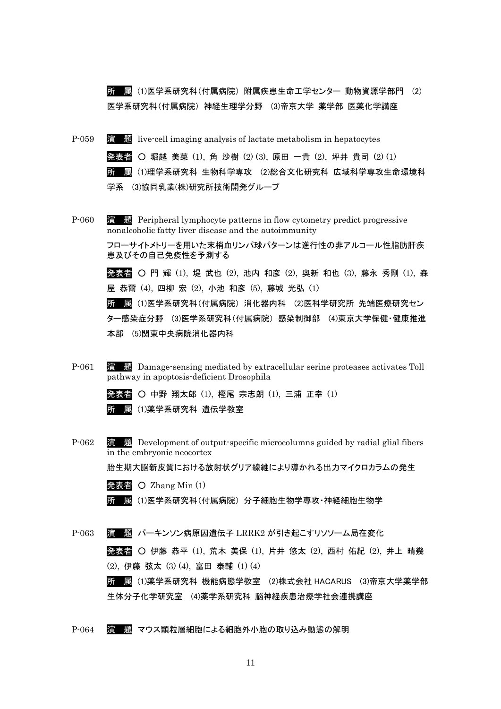所 属 (1)医学系研究科(付属病院) 附属疾患生命工学センター 動物資源学部門 (2) 医学系研究科(付属病院) 神経生理学分野 (3)帝京大学 薬学部 医薬化学講座

- P-059 演 題 live-cell imaging analysis of lactate metabolism in hepatocytes 発表者 ○ 堀越 美菜 (1), 角 沙樹 (2) (3), 原田 一貴 (2), 坪井 貴司 (2) (1) 所 属 (1)理学系研究科 生物科学専攻 (2)総合文化研究科 広域科学専攻生命環境科 学系 (3)協同乳業(株)研究所技術開発グループ
- P-060 演 題 Peripheral lymphocyte patterns in flow cytometry predict progressive nonalcoholic fatty liver disease and the autoimmunity

フローサイトメトリーを用いた末梢血リンパ球パターンは進行性の非アルコール性脂肪肝疾 患及びその自己免疫性を予測する

発表者 ○ 門 輝 (1), 堤 武也 (2), 池内 和彦 (2), 奥新 和也 (3), 藤永 秀剛 (1), 森 屋 恭爾 (4), 四柳 宏 (2), 小池 和彦 (5), 藤城 光弘 (1)

所 属 (1)医学系研究科(付属病院) 消化器内科 (2)医科学研究所 先端医療研究セン ター感染症分野 (3)医学系研究科(付属病院) 感染制御部 (4)東京大学保健・健康推進 本部 (5)関東中央病院消化器内科

P-061 演 題 Damage-sensing mediated by extracellular serine proteases activates Toll pathway in apoptosis-deficient Drosophila

> 発表者 ○ 中野 翔太郎 (1), 樫尾 宗志朗 (1), 三浦 正幸 (1) 所 属 (1)薬学系研究科 遺伝学教室

P-062 演 題 Development of output-specific microcolumns guided by radial glial fibers in the embryonic neocortex

胎生期大脳新皮質における放射状グリア線維により導かれる出力マイクロカラムの発生

|  | 発表者 〇 Zhang Min $(1)$ |  |
|--|-----------------------|--|
|--|-----------------------|--|

所 属 (1)医学系研究科(付属病院) 分子細胞生物学専攻・神経細胞生物学

P-063 演 題 パーキンソン病原因遺伝子 LRRK2 が引き起こすリソソーム局在変化 発表者 ○ 伊藤 恭平 (1), 荒木 美保 (1), 片井 悠太 (2), 西村 佑紀 (2), 井上 晴幾 (2), 伊藤 弦太 (3) (4), 富田 泰輔 (1) (4) 所 属 (1)薬学系研究科 機能病態学教室 (2)株式会社 HACARUS (3)帝京大学薬学部

生体分子化学研究室 (4)薬学系研究科 脳神経疾患治療学社会連携講座

P-064 演 題 マウス顆粒層細胞による細胞外小胞の取り込み動態の解明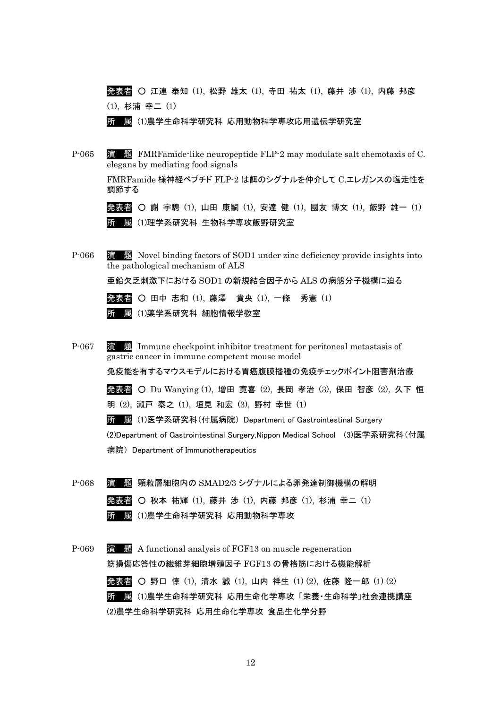発表者 ○ 江連 泰知 (1), 松野 雄太 (1), 寺田 祐太 (1), 藤井 渉 (1), 内藤 邦彦 (1), 杉浦 幸二 (1)

所 属 (1)農学生命科学研究科 応用動物科学専攻応用遺伝学研究室

P-065 演 題 FMRFamide-like neuropeptide FLP-2 may modulate salt chemotaxis of C. elegans by mediating food signals

> FMRFamide 様神経ペプチド FLP-2 は餌のシグナルを仲介して C.エレガンスの塩走性を 調節する

> 発表者 ○ 謝 宇騁 (1), 山田 康嗣 (1), 安達 健 (1), 國友 博文 (1), 飯野 雄一 (1) 所 属 (1)理学系研究科 生物科学専攻飯野研究室

P-066 演 題 Novel binding factors of SOD1 under zinc deficiency provide insights into the pathological mechanism of ALS

亜鉛欠乏刺激下における SOD1 の新規結合因子から ALS の病態分子機構に迫る



- P-067 演 題 Immune checkpoint inhibitor treatment for peritoneal metastasis of gastric cancer in immune competent mouse model 免疫能を有するマウスモデルにおける胃癌腹膜播種の免疫チェックポイント阻害剤治療 発表者 〇 Du Wanying (1), 増田 寛喜 (2), 長岡 孝治 (3), 保田 智彦 (2), 久下 恒 明 (2), 瀬戸 泰之 (1), 垣見 和宏 (3), 野村 幸世 (1) 所 属 (1)医学系研究科(付属病院) Department of Gastrointestinal Surgery (2)Department of Gastrointestinal Surgery,Nippon Medical School (3)医学系研究科(付属 病院) Department of Immunotherapeutics
- P-068 演 題 顆粒層細胞内の SMAD2/3 シグナルによる卵発達制御機構の解明 発表者 ○ 秋本 祐輝 (1), 藤井 渉 (1), 内藤 邦彦 (1), 杉浦 幸二 (1) 所 属 (1)農学生命科学研究科 応用動物科学専攻
- P-069 演 題 A functional analysis of FGF13 on muscle regeneration 筋損傷応答性の繊維芽細胞増殖因子 FGF13 の骨格筋における機能解析 発表者 ○ 野口 惇 (1), 清水 誠 (1), 山内 祥生 (1) (2), 佐藤 隆一郎 (1) (2) 所 属 (1)農学生命科学研究科 応用生命化学専攻 「栄養・生命科学」社会連携講座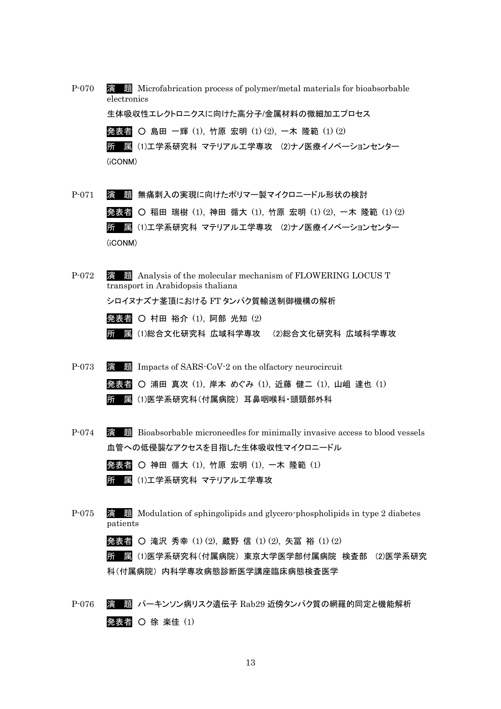P-070 演 題 Microfabrication process of polymer/metal materials for bioabsorbable electronics 生体吸収性エレクトロニクスに向けた高分子/金属材料の微細加工プロセス 発表者 ○ 島田 一輝 (1), 竹原 宏明 (1) (2), 一木 隆範 (1) (2) 所 属 (1)工学系研究科 マテリアル工学専攻 (2)ナノ医療イノベーションセンター (iCONM)

- P-071 演 題 無痛刺入の実現に向けたポリマー製マイクロニードル形状の検討 発表者 ○ 稲田 瑞樹 (1), 神田 循大 (1), 竹原 宏明 (1)(2), 一木 隆範 (1)(2) 所 属 (1)工学系研究科 マテリアル工学専攻 (2)ナノ医療イノベーションセンター (iCONM)
- P-072 演題 Analysis of the molecular mechanism of FLOWERING LOCUS T transport in Arabidopsis thaliana シロイヌナズナ茎頂における FT タンパク質輸送制御機構の解析 発表者 〇 村田 裕介 (1), 阿部 光知 (2)
	- 所 属 (1)総合文化研究科 広域科学専攻 (2)総合文化研究科 広域科学専攻
- P-073 演 題 Impacts of SARS-CoV-2 on the olfactory neurocircuit 発表者 ○ 浦田 真次 (1), 岸本 めぐみ (1), 近藤 健二 (1), 山岨 達也 (1) 所 属 (1)医学系研究科(付属病院) 耳鼻咽喉科・頭頸部外科
- P-074 演 題 Bioabsorbable microneedles for minimally invasive access to blood vessels 血管への低侵襲なアクセスを目指した生体吸収性マイクロニードル
	- 発表者 神田 循大 (1), 竹原 宏明 (1), 一木 隆範 (1) 所 属 (1)工学系研究科 マテリアル工学専攻
- P-075 演 題 Modulation of sphingolipids and glycero-phospholipids in type 2 diabetes patients

発表者 ○ 滝沢 秀幸 (1) (2), 蔵野 信 (1) (2), 矢冨 裕 (1) (2)

所 属 (1)医学系研究科(付属病院) 東京大学医学部付属病院 検査部 (2)医学系研究 科(付属病院) 内科学専攻病態診断医学講座臨床病態検査医学

P-076 演 題 パーキンソン病リスク遺伝子 Rab29 近傍タンパク質の網羅的同定と機能解析 発表者 〇 徐 楽佳 (1)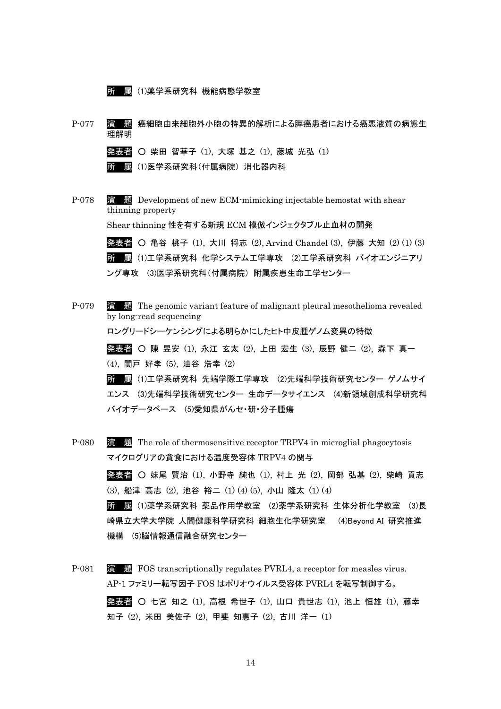P-077 演 題 癌細胞由来細胞外小胞の特異的解析による膵癌患者における癌悪液質の病態生 理解明 発表者 ○ 柴田 智華子 (1), 大塚 基之 (1), 藤城 光弘 (1) 所 属 (1)医学系研究科(付属病院) 消化器内科 P-078 **演 題** Development of new ECM-mimicking injectable hemostat with shear thinning property Shear thinning 性を有する新規 ECM 模倣インジェクタブル止血材の開発 発表者 ○ 亀谷 桃子 (1), 大川 将志 (2), Arvind Chandel (3), 伊藤 大知 (2) (1) (3) 所 属 (1)工学系研究科 化学システム工学専攻 (2)工学系研究科 バイオエンジニアリ ング専攻 (3)医学系研究科(付属病院) 附属疾患生命工学センター P-079 演 題 The genomic variant feature of malignant pleural mesothelioma revealed by long-read sequencing ロングリードシーケンシングによる明らかにしたヒト中皮腫ゲノム変異の特徴 発表者 ○ 陳 昱安 (1), 永江 玄太 (2), 上田 宏生 (3), 辰野 健二 (2), 森下 真一 (4), 関戸 好孝 (5), 油谷 浩幸 (2) 所 属 (1)工学系研究科 先端学際工学専攻 (2)先端科学技術研究センター ゲノムサイ エンス (3)先端科学技術研究センター 生命データサイエンス (4)新領域創成科学研究科

バイオデータベース (5)愛知県がんセ・研・分子腫瘍

所 属 (1)薬学系研究科 機能病態学教室

P-080 演 題 The role of thermosensitive receptor TRPV4 in microglial phagocytosis マイクログリアの貪食における温度受容体 TRPV4 の関与 発表者 ○ 妹尾 賢治 (1), 小野寺 純也 (1), 村上 光 (2), 岡部 弘基 (2), 柴崎 貢志 (3), 船津 高志 (2), 池谷 裕二 (1) (4) (5), 小山 隆太 (1) (4) 所 属 (1)薬学系研究科 薬品作用学教室 (2)薬学系研究科 生体分析化学教室 (3)長 崎県立大学大学院 人間健康科学研究科 細胞生化学研究室 (4)Beyond AI 研究推進 機構 (5)脳情報通信融合研究センター

P-081 演 題 FOS transcriptionally regulates PVRL4, a receptor for measles virus. AP-1 ファミリー転写因子 FOS はポリオウイルス受容体 PVRL4 を転写制御する。 発表者 ○ 七宮 知之 (1), 高根 希世子 (1), 山口 貴世志 (1), 池上 恒雄 (1), 藤幸 知子 (2), 米田 美佐子 (2), 甲斐 知惠子 (2), 古川 洋一 (1)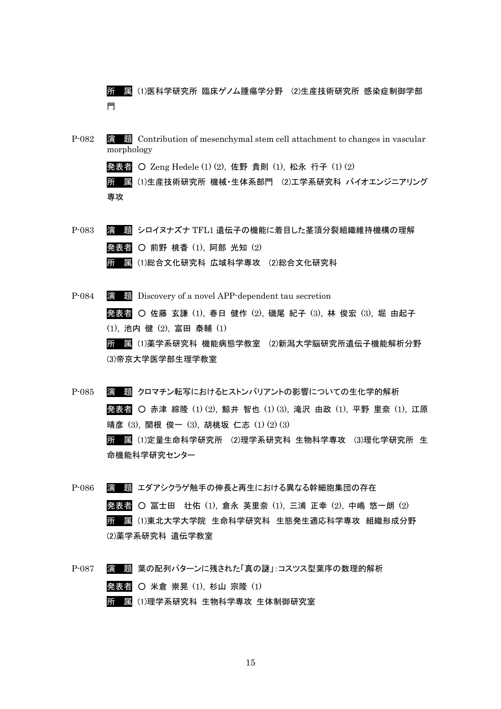所 属 (1)医科学研究所 臨床ゲノム腫瘍学分野 (2)生産技術研究所 感染症制御学部 門

P-082 **演 題** Contribution of mesenchymal stem cell attachment to changes in vascular morphology

発表者 ○ Zeng Hedele (1) (2), 佐野 貴則 (1), 松永 行子 (1) (2)

所 属 (1)生産技術研究所 機械・生体系部門 (2)工学系研究科 バイオエンジニアリング 専攻

P-083 演 題 シロイヌナズナ TFL1 遺伝子の機能に着目した茎頂分裂組織維持機構の理解 発表者 〇 前野 桃香  $(1)$ , 阿部 光知  $(2)$ 所 属 (1)総合文化研究科 広域科学専攻 (2)総合文化研究科

P-084 演 題 Discovery of a novel APP-dependent tau secretion 発表者 ○ 佐藤 玄謙 (1), 春日 健作 (2), 磯尾 紀子 (3), 林 俊宏 (3), 堀 由起子 (1), 池内 健 (2), 富田 泰輔 (1) 所 属 (1)薬学系研究科 機能病態学教室 (2)新潟大学脳研究所遺伝子機能解析分野 (3)帝京大学医学部生理学教室

P-085 演 題 クロマチン転写におけるヒストンバリアントの影響についての生化学的解析 発表者 ○ 赤津 綜隆 (1) (2), 鯨井 智也 (1) (3), 滝沢 由政 (1), 平野 里奈 (1), 江原 晴彦 (3), 関根 俊一 (3), 胡桃坂 仁志 (1) (2) (3) 所 属 (1)定量生命科学研究所 (2)理学系研究科 生物科学専攻 (3)理化学研究所 生 命機能科学研究センター

- P-086 演 題 エダアシクラゲ触手の伸長と再生における異なる幹細胞集団の存在 発表者 ○ 冨士田 壮佑 (1), 倉永 英里奈 (1), 三浦 正幸 (2), 中嶋 悠一朗 (2) 所 属 (1)東北大学大学院 生命科学研究科 生態発生適応科学専攻 組織形成分野 (2)薬学系研究科 遺伝学教室
- P-087 演 題 葉の配列パターンに残された「真の謎」:コスツス型葉序の数理的解析 発表者 〇 米倉 崇晃 (1), 杉山 宗隆 (1) 所 属 (1)理学系研究科 生物科学専攻 生体制御研究室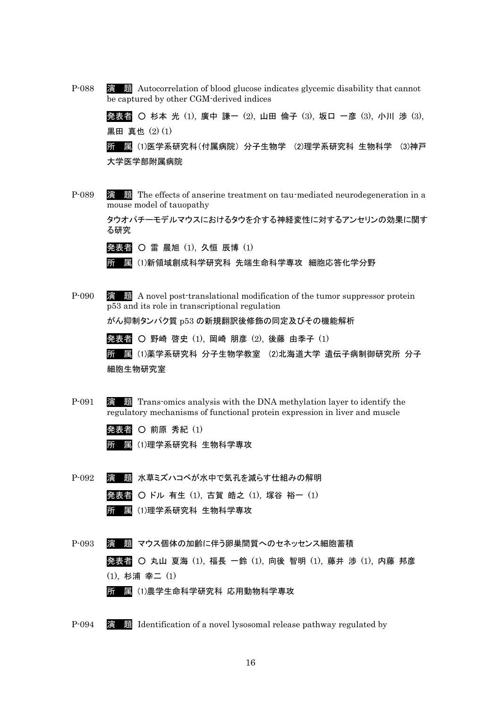P-088 演 題 Autocorrelation of blood glucose indicates glycemic disability that cannot be captured by other CGM-derived indices

> 発表者 ○ 杉本 光 (1), 廣中 謙一 (2), 山田 倫子 (3), 坂口 一彦 (3), 小川 渉 (3), 黒田 真也 (2) (1)

> 所 属 (1)医学系研究科(付属病院) 分子生物学 (2)理学系研究科 生物科学 (3)神戸 大学医学部附属病院

P-089 演 題 The effects of anserine treatment on tau-mediated neurodegeneration in a mouse model of tauopathy

> タウオパチーモデルマウスにおけるタウを介する神経変性に対するアンセリンの効果に関す る研究

発表者 ○ 雷 晨旭 (1), 久恒 辰博 (1)

所 属 (1)新領域創成科学研究科 先端生命科学専攻 細胞応答化学分野

P-090 演 題 A novel post-translational modification of the tumor suppressor protein p53 and its role in transcriptional regulation

がん抑制タンパク質 p53 の新規翻訳後修飾の同定及びその機能解析

発表者 ○ 野崎 啓史 (1), 岡崎 朋彦 (2), 後藤 由季子 (1)

所 属 (1)薬学系研究科 分子生物学教室 (2)北海道大学 遺伝子病制御研究所 分子 細胞生物研究室

- P-091 演 題 Trans-omics analysis with the DNA methylation layer to identify the regulatory mechanisms of functional protein expression in liver and muscle
	- 発表者 〇 前原 秀紀 (1)
	- 所 属 (1)理学系研究科 生物科学専攻
- P-092 演 題 水草ミズハコベが水中で気孔を減らす仕組みの解明 発表者 ○ ドル 有生 (1), 古賀 皓之 (1), 塚谷 裕一 (1) 所 属 (1)理学系研究科 生物科学専攻
- P-093 演 題 マウス個体の加齢に伴う卵巣間質へのセネッセンス細胞蓄積 発表者 ○ 丸山 夏海 (1), 福長 一鈴 (1), 向後 智明 (1), 藤井 渉 (1), 内藤 邦彦 (1), 杉浦 幸二 (1) 所 属 (1)農学生命科学研究科 応用動物科学専攻
- P-094 演 題 Identification of a novel lysosomal release pathway regulated by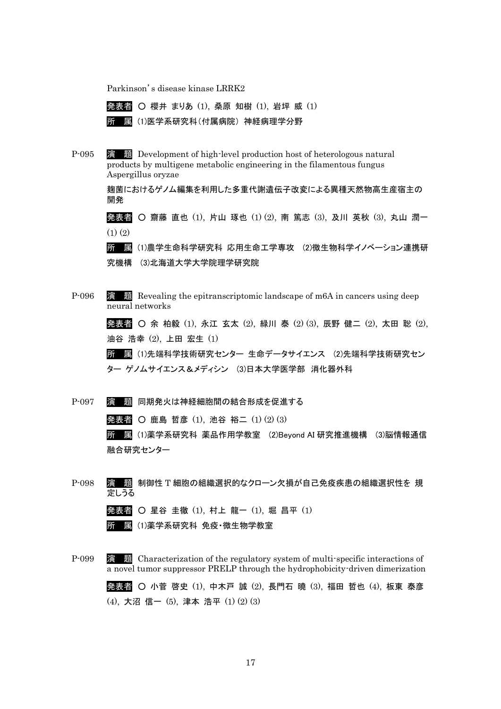Parkinson's disease kinase LRRK2

発表者 ○ 櫻井 まりあ (1), 桑原 知樹 (1), 岩坪 威 (1) 所 属 (1)医学系研究科(付属病院) 神経病理学分野

P-095 演 題 Development of high-level production host of heterologous natural products by multigene metabolic engineering in the filamentous fungus Aspergillus oryzae

> 麹菌におけるゲノム編集を利用した多重代謝遺伝子改変による異種天然物高生産宿主の 開発

発表者 ○ 齋藤 直也 (1), 片山 琢也 (1) (2), 南 篤志 (3), 及川 英秋 (3), 丸山 潤一  $(1)$  $(2)$ 

所 属 (1)農学生命科学研究科 応用生命工学専攻 (2)微生物科学イノベーション連携研 究機構 (3)北海道大学大学院理学研究院

P-096 演 題 Revealing the epitranscriptomic landscape of m6A in cancers using deep neural networks

> 発表者 ○ 余 柏毅 (1), 永江 玄太 (2), 緑川 泰 (2) (3), 辰野 健二 (2), 太田 聡 (2), 油谷 浩幸 (2), 上田 宏生 (1)

所 属 (1)先端科学技術研究センター 生命データサイエンス (2)先端科学技術研究セン ター ゲノムサイエンス&メディシン (3)日本大学医学部 消化器外科

P-097 演 題 同期発火は神経細胞間の結合形成を促進する

発表者 ○ 鹿島 哲彦 (1), 池谷 裕二 (1) (2) (3)

所 属 (1)薬学系研究科 薬品作用学教室 (2)Beyond AI 研究推進機構 (3)脳情報通信 融合研究センター

P-098 演 題 制御性 T 細胞の組織選択的なクローン欠損が自己免疫疾患の組織選択性を 規 定しうる

発表者 〇 星谷 圭徹 (1), 村上 龍一 (1), 堀 昌平 (1)

- 所 属 (1)薬学系研究科 免疫・微生物学教室
- P-099 演 題 Characterization of the regulatory system of multi-specific interactions of a novel tumor suppressor PRELP through the hydrophobicity-driven dimerization

発表者 ○ 小菅 啓史 (1), 中木戸 誠 (2), 長門石 曉 (3), 福田 哲也 (4), 板東 泰彦 (4), 大沼 信一 (5), 津本 浩平 (1) (2) (3)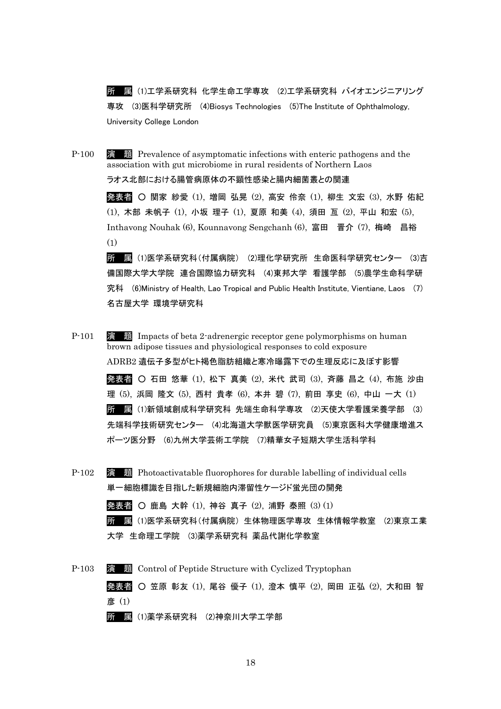所 属 (1)工学系研究科 化学生命工学専攻 (2)工学系研究科 バイオエンジニアリング 専攻 (3)医科学研究所 (4)Biosys Technologies (5)The Institute of Ophthalmology, University College London

P-100 演 題 Prevalence of asymptomatic infections with enteric pathogens and the association with gut microbiome in rural residents of Northern Laos ラオス北部における腸管病原体の不顕性感染と腸内細菌叢との関連 発表者 ○ 関家 紗愛 (1), 増岡 弘晃 (2), 高安 伶奈 (1), 柳生 文宏 (3), 水野 佑紀 (1), 木部 未帆子 (1), 小坂 理子 (1), 夏原 和美 (4), 須田 亙 (2), 平山 和宏 (5), Inthavong Nouhak (6), Kounnavong Sengchanh (6), 富田 晋介 (7), 梅崎 昌裕 (1) 所 属 (1)医学系研究科(付属病院) (2)理化学研究所 生命医科学研究センター (3)吉 備国際大学大学院 連合国際協力研究科 (4)東邦大学 看護学部 (5)農学生命科学研 究科 (6)Ministry of Health, Lao Tropical and Public Health Institute, Vientiane, Laos (7)

名古屋大学 環境学研究科

- P-101 演 題 Impacts of beta 2-adrenergic receptor gene polymorphisms on human brown adipose tissues and physiological responses to cold exposure ADRB2 遺伝子多型がヒト褐色脂肪組織と寒冷曝露下での生理反応に及ぼす影響 発表者 ○ 石田 悠華 (1), 松下 真美 (2), 米代 武司 (3), 斉藤 昌之 (4), 布施 沙由 理 (5), 浜岡 隆文 (5), 西村 貴孝 (6), 本井 碧 (7), 前田 享史 (6), 中山 一大 (1) 所 属 (1)新領域創成科学研究科 先端生命科学専攻 (2)天使大学看護栄養学部 (3) 先端科学技術研究センター (4)北海道大学獣医学研究員 (5)東京医科大学健康増進ス ポーツ医分野 (6)九州大学芸術工学院 (7)精華女子短期大学生活科学科
- P-102 演 題 Photoactivatable fluorophores for durable labelling of individual cells 単一細胞標識を目指した新規細胞内滞留性ケージド蛍光団の開発 発表者 ○ 鹿島 大幹 (1), 神谷 真子 (2), 浦野 泰照 (3) (1)

所 属 (1)医学系研究科(付属病院) 生体物理医学専攻 生体情報学教室 (2)東京工業 大学 生命理工学院 (3)薬学系研究科 薬品代謝化学教室

P-103 演 題 Control of Peptide Structure with Cyclized Tryptophan 発表者 ○ 笠原 彰友 (1), 尾谷 優子 (1), 澄本 慎平 (2), 岡田 正弘 (2), 大和田 智 彦 (1) 所 属 (1)薬学系研究科 (2)神奈川大学工学部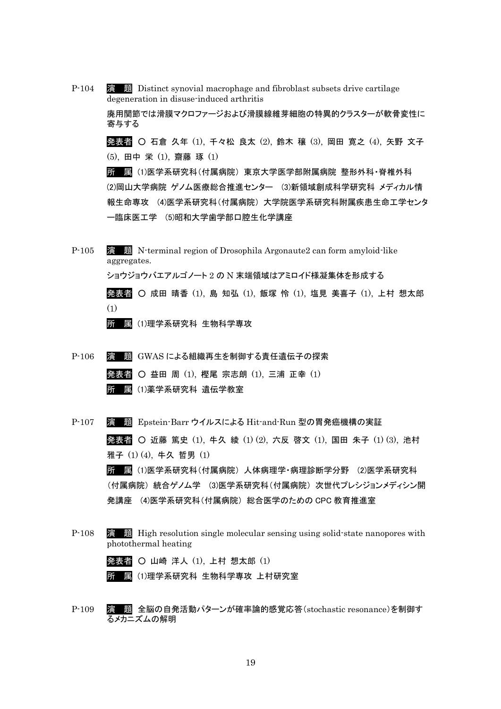- P-104 演 題 Distinct synovial macrophage and fibroblast subsets drive cartilage degeneration in disuse-induced arthritis 廃用関節では滑膜マクロファージおよび滑膜線維芽細胞の特異的クラスターが軟骨変性に 寄与する 発表者 ○ 石倉 久年 (1), 千々松 良太 (2), 鈴木 穣 (3), 岡田 寛之 (4), 矢野 文子 (5), 田中 栄 (1), 齋藤 琢 (1) 所 属 (1)医学系研究科(付属病院) 東京大学医学部附属病院 整形外科・脊椎外科 (2)岡山大学病院 ゲノム医療総合推進センター (3)新領域創成科学研究科 メディカル情 報生命専攻 (4)医学系研究科(付属病院) 大学院医学系研究科附属疾患生命工学センタ
- P-105 演 題 N-terminal region of Drosophila Argonaute2 can form amyloid-like aggregates. ショウジョウバエアルゴノート 2 の N 末端領域はアミロイド様凝集体を形成する 発表者 ○ 成田 晴香 (1), 島 知弘 (1), 飯塚 怜 (1), 塩見 美喜子 (1), 上村 想太郎 (1)

所 属 (1)理学系研究科 生物科学専攻

P-106 演 題 GWAS による組織再生を制御する責任遺伝子の探索 発表者 ○ 益田 周 (1), 樫尾 宗志朗 (1), 三浦 正幸 (1) 所 属 (1)薬学系研究科 遺伝学教室

ー臨床医工学 (5)昭和大学歯学部口腔生化学講座

P-107 演 題 Epstein-Barr ウイルスによる Hit-and-Run 型の胃発癌機構の実証 発表者 ○ 近藤 篤史 (1), 牛久 綾 (1) (2), 六反 啓文 (1), 国田 朱子 (1) (3), 池村 雅子 (1) (4), 牛久 哲男 (1) 所 属 (1)医学系研究科(付属病院) 人体病理学・病理診断学分野 (2)医学系研究科 (付属病院) 統合ゲノム学 (3)医学系研究科(付属病院) 次世代プレシジョンメディシン開 発講座 (4)医学系研究科(付属病院) 総合医学のための CPC 教育推進室

P-108 演 題 High resolution single molecular sensing using solid-state nanopores with photothermal heating

発表者 ○ 山崎 洋人 (1), 上村 想太郎 (1)

所 属 (1)理学系研究科 生物科学専攻 上村研究室

P-109 演 題 全脳の自発活動パターンが確率論的感覚応答(stochastic resonance)を制御す るメカニズムの解明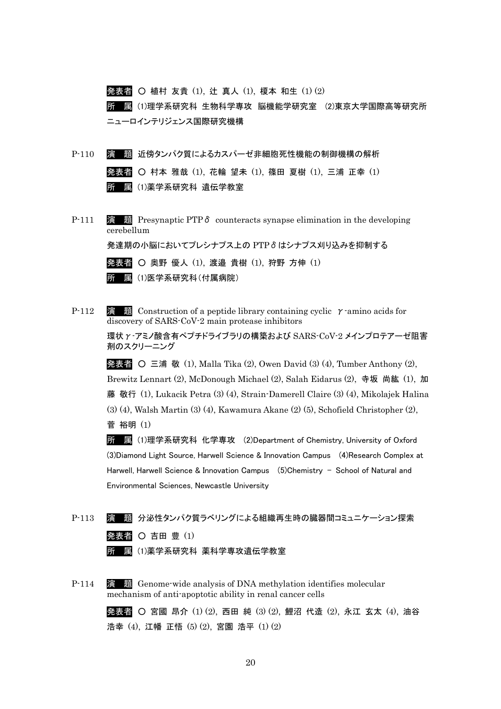発表者 ○ 植村 友貴 (1), 辻 真人 (1), 榎本 和生 (1) (2) 所 属 (1)理学系研究科 生物科学専攻 脳機能学研究室 (2)東京大学国際高等研究所 ニューロインテリジェンス国際研究機構

P-110 演 題 近傍タンパク質によるカスパーゼ非細胞死性機能の制御機構の解析 発表者 ○ 村本 雅哉 (1), 花輪 望未 (1), 篠田 夏樹 (1), 三浦 正幸 (1) 所 属 (1)薬学系研究科 遺伝学教室

P-111 **演 題** Presynaptic PTPδ counteracts synapse elimination in the developing cerebellum 発達期の小脳においてプレシナプス上の PTPδはシナプス刈り込みを抑制する

> 発表者 ○ 奥野 優人 (1), 渡邉 貴樹 (1), 狩野 方伸 (1) 所 属 (1)医学系研究科(付属病院)

P-112 **演 題** Construction of a peptide library containing cyclic γ-amino acids for discovery of SARS-CoV-2 main protease inhibitors

> 環状γ-アミノ酸含有ペプチドライブラリの構築および SARS-CoV-2 メインプロテアーゼ阻害 剤のスクリーニング

> 発表者 ○ 三浦 敬 (1), Malla Tika (2), Owen David (3) (4), Tumber Anthony (2), Brewitz Lennart (2), McDonough Michael (2), Salah Eidarus (2), 寺坂 尚紘 (1), 加 藤 敬行 (1), Lukacik Petra (3) (4), Strain-Damerell Claire (3) (4), Mikolajek Halina (3) (4), Walsh Martin (3) (4), Kawamura Akane (2) (5), Schofield Christopher (2), 菅 裕明 (1)

所 属 (1)理学系研究科 化学専攻 (2)Department of Chemistry, University of Oxford (3)Diamond Light Source, Harwell Science & Innovation Campus (4)Research Complex at Harwell, Harwell Science & Innovation Campus (5)Chemistry – School of Natural and Environmental Sciences, Newcastle University

- P-113 演 題 分泌性タンパク質ラベリングによる組織再生時の臓器間コミュニケーション探索 発表者 〇 吉田 豊 (1) 所 属 (1)薬学系研究科 薬科学専攻遺伝学教室
- P-114 演 題 Genome-wide analysis of DNA methylation identifies molecular mechanism of anti-apoptotic ability in renal cancer cells

発表者 〇 宮國 昂介 (1) (2), 西田 純 (3) (2), 鯉沼 代造 (2), 永江 玄太 (4), 油谷 浩幸 (4), 江幡 正悟 (5) (2), 宮園 浩平 (1) (2)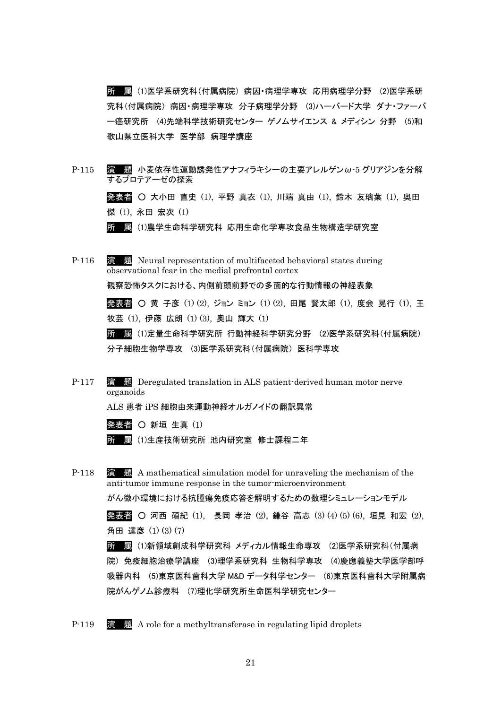所 属 (1)医学系研究科(付属病院) 病因・病理学専攻 応用病理学分野 (2)医学系研 究科(付属病院) 病因・病理学専攻 分子病理学分野 (3)ハーバード大学 ダナ・ファーバ ー癌研究所 (4)先端科学技術研究センター ゲノムサイエンス & メディシン 分野 (5)和 歌山県立医科大学 医学部 病理学講座

- P-115 演 題 小麦依存性運動誘発性アナフィラキシーの主要アレルゲンω-5 グリアジンを分解 するプロテアーゼの探索 発表者 ○ 大小田 直史 (1), 平野 真衣 (1), 川端 真由 (1), 鈴木 友璃葉 (1), 奥田 傑 (1), 永田 宏次 (1) 所 属 (1)農学生命科学研究科 応用生命化学専攻食品生物構造学研究室
- P-116 演 題 Neural representation of multifaceted behavioral states during observational fear in the medial prefrontal cortex 観察恐怖タスクにおける、内側前頭前野での多面的な行動情報の神経表象 発表者 ○ 黄 子彦 (1) (2), ジョン ミョン (1) (2), 田尾 賢太郎 (1), 度会 晃行 (1), 王 牧芸 (1), 伊藤 広朗 (1) (3), 奥山 輝大 (1) 所 属 (1)定量生命科学研究所 行動神経科学研究分野 (2)医学系研究科(付属病院) 分子細胞生物学専攻 (3)医学系研究科(付属病院) 医科学専攻
- P-117 演 題 Deregulated translation in ALS patient-derived human motor nerve organoids

ALS 患者 iPS 細胞由来運動神経オルガノイドの翻訳異常

発表者  $O$  新垣 生真 $(1)$ 

所 属 (1)生産技術研究所 池内研究室 修士課程二年

P-118 演 題 A mathematical simulation model for unraveling the mechanism of the anti-tumor immune response in the tumor-microenvironment がん微小環境における抗腫瘍免疫応答を解明するための数理シミュレーションモデル

> 発表者 ○ 河西 碩紀 (1), 長岡 孝治 (2), 鎌谷 高志 (3) (4) (5) (6), 垣見 和宏 (2), 角田 達彦 (1) (3) (7)

> 所 属 (1)新領域創成科学研究科 メディカル情報生命専攻 (2)医学系研究科(付属病 院) 免疫細胞治療学講座 (3)理学系研究科 生物科学専攻 (4)慶應義塾大学医学部呼 吸器内科 (5)東京医科歯科大学 M&D データ科学センター (6)東京医科歯科大学附属病 院がんゲノム診療科 (7)理化学研究所生命医科学研究センター

P-119 演 題 A role for a methyltransferase in regulating lipid droplets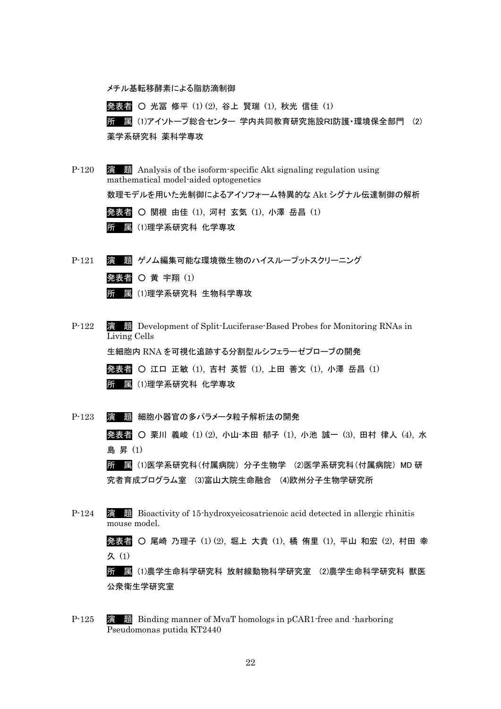メチル基転移酵素による脂肪滴制御

発表者 ○ 光冨 修平 (1) (2), 谷上 賢瑞 (1), 秋光 信佳 (1) 所 属 (1)アイソトープ総合センター 学内共同教育研究施設RI防護・環境保全部門 (2) 薬学系研究科 薬科学専攻

- P-120 演 題 Analysis of the isoform-specific Akt signaling regulation using mathematical model-aided optogenetics 数理モデルを用いた光制御によるアイソフォーム特異的な Akt シグナル伝達制御の解析 発表者 ○ 関根 由佳 (1), 河村 玄気 (1), 小澤 岳昌 (1) 所 属 (1)理学系研究科 化学専攻 P-121 演 題 ゲノム編集可能な環境微生物のハイスループットスクリーニング
- 発表者 〇 黄 宇翔 (1) 所 属 (1)理学系研究科 生物科学専攻
- P-122 演 題 Development of Split-Luciferase-Based Probes for Monitoring RNAs in Living Cells 生細胞内 RNA を可視化追跡する分割型ルシフェラーゼプローブの開発 発表者 ○ 江口 正敏 (1), 吉村 英哲 (1), 上田 善文 (1), 小澤 岳昌 (1) 所 属 (1)理学系研究科 化学専攻
- P-123 演 題 細胞小器官の多パラメータ粒子解析法の開発 発表者 ○ 栗川 義峻 (1) (2), 小山-本田 郁子 (1), 小池 誠一 (3), 田村 律人 (4), 水 島 昇 (1) 所 属 (1)医学系研究科(付属病院) 分子生物学 (2)医学系研究科(付属病院) MD 研 究者育成プログラム室 (3)富山大院生命融合 (4)欧州分子生物学研究所
- P-124 演 題 Bioactivity of 15-hydroxyeicosatrienoic acid detected in allergic rhinitis mouse model. 発表者 ○ 尾崎 乃理子 (1) (2), 堀上 大貴 (1), 橘 侑里 (1), 平山 和宏 (2), 村田 幸 久 (1) 所 属 (1)農学生命科学研究科 放射線動物科学研究室 (2)農学生命科学研究科 獣医 公衆衛生学研究室
- P-125 演 題 Binding manner of MvaT homologs in pCAR1-free and -harboring Pseudomonas putida KT2440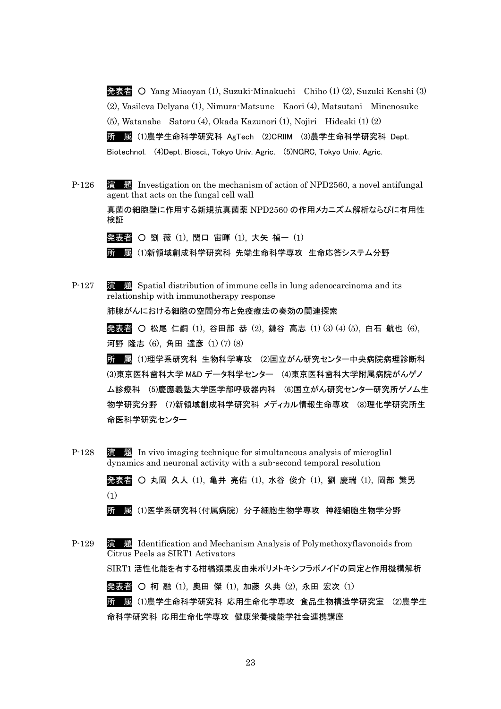発表者 ○ Yang Miaoyan (1), Suzuki-Minakuchi Chiho (1) (2), Suzuki Kenshi (3) (2), Vasileva Delyana (1), Nimura-Matsune Kaori (4), Matsutani Minenosuke (5), Watanabe Satoru (4), Okada Kazunori (1), Nojiri Hideaki (1) (2) 所 属 (1)農学生命科学研究科 AgTech (2)CRIIM (3)農学生命科学研究科 Dept. Biotechnol. (4)Dept. Biosci., Tokyo Univ. Agric. (5)NGRC, Tokyo Univ. Agric.

P-126 演 題 Investigation on the mechanism of action of NPD2560, a novel antifungal agent that acts on the fungal cell wall

真菌の細胞壁に作用する新規抗真菌薬 NPD2560 の作用メカニズム解析ならびに有用性 検証

発表者 〇 劉 薇 (1), 関口 宙暉 (1), 大矢 禎一 (1)

所 属 (1)新領域創成科学研究科 先端生命科学専攻 生命応答システム分野

P-127 **演 題** Spatial distribution of immune cells in lung adenocarcinoma and its relationship with immunotherapy response 肺腺がんにおける細胞の空間分布と免疫療法の奏効の関連探索

> 発表者 ○ 松尾 仁嗣 (1), 谷田部 恭 (2), 鎌谷 高志 (1) (3) (4) (5), 白石 航也 (6), 河野 隆志 (6), 角田 達彦 (1) (7) (8)

所 属 (1)理学系研究科 生物科学専攻 (2)国立がん研究センター中央病院病理診断科 (3)東京医科歯科大学 M&D データ科学センター (4)東京医科歯科大学附属病院がんゲノ ム診療科 (5)慶應義塾大学医学部呼吸器内科 (6)国立がん研究センター研究所ゲノム生 物学研究分野 (7)新領域創成科学研究科 メディカル情報生命専攻 (8)理化学研究所生 命医科学研究センター

P-128 演 題 In vivo imaging technique for simultaneous analysis of microglial dynamics and neuronal activity with a sub-second temporal resolution

> 発表者 ○ 丸岡 久人 (1), 亀井 亮佑 (1), 水谷 俊介 (1), 劉 慶瑞 (1), 岡部 繁男 (1)

所 属 (1)医学系研究科(付属病院) 分子細胞生物学専攻 神経細胞生物学分野

P-129 演 題 Identification and Mechanism Analysis of Polymethoxyflavonoids from Citrus Peels as SIRT1 Activators

SIRT1 活性化能を有する柑橘類果皮由来ポリメトキシフラボノイドの同定と作用機構解析

発表者 ○ 柯 融 (1), 奥田 傑 (1), 加藤 久典 (2), 永田 宏次 (1) 所 属 (1)農学生命科学研究科 応用生命化学専攻 食品生物構造学研究室 (2)農学生 命科学研究科 応用生命化学専攻 健康栄養機能学社会連携講座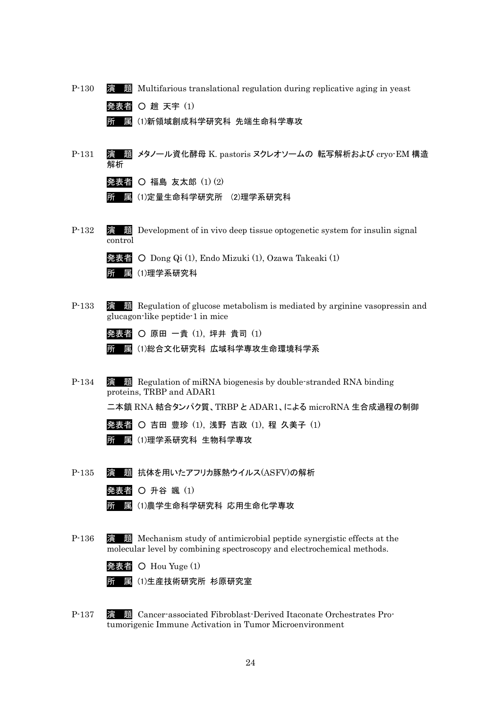| $P-130$ | <u>题</u> Multifarious translational regulation during replicative aging in yeast<br>演                                                                     |
|---------|-----------------------------------------------------------------------------------------------------------------------------------------------------------|
|         | 発表者 〇 趙 天宇 (1)                                                                                                                                            |
|         | (1)新領域創成科学研究科 先端生命科学専攻<br>Pπ<br>属                                                                                                                         |
|         |                                                                                                                                                           |
| $P-131$ | 題 メタノール資化酵母 K. pastoris ヌクレオソームの 転写解析および cryo・EM 構造<br>演<br>解析                                                                                            |
|         | 発表者 〇 福島 友太郎 (1)(2)                                                                                                                                       |
|         | (1)定量生命科学研究所 (2)理学系研究科<br>属<br>P'n                                                                                                                        |
|         |                                                                                                                                                           |
| $P-132$ | 題 Development of in vivo deep tissue optogenetic system for insulin signal<br>演<br>control                                                                |
|         | 発表者 O Dong Qi (1), Endo Mizuki (1), Ozawa Takeaki (1)                                                                                                     |
|         | (1)理学系研究科<br>属<br>Pπ                                                                                                                                      |
|         |                                                                                                                                                           |
| $P-133$ | 題 Regulation of glucose metabolism is mediated by arginine vasopressin and<br>演<br>glucagon-like peptide-1 in mice                                        |
|         | 発表者 〇 原田 一貴 (1), 坪井 貴司 (1)                                                                                                                                |
|         | ⑴総合文化研究科 広域科学専攻生命環境科学系<br>属<br>Pπ                                                                                                                         |
|         |                                                                                                                                                           |
| $P-134$ | 漬<br><b>Notable 3</b> Regulation of miRNA biogenesis by double-stranded RNA binding<br>proteins, TRBP and ADAR1                                           |
|         | 二本鎖 RNA 結合タンパク質、TRBP と ADAR1、による microRNA 生合成過程の制御                                                                                                        |
|         | <b>発表者 〇 吉田 豊珍 ⑴, 浅野 吉政 ⑴, 程 久美子 ⑴</b>                                                                                                                    |
|         | (1)理学系研究科 生物科学専攻<br>所<br>属                                                                                                                                |
|         |                                                                                                                                                           |
| $P-135$ | 抗体を用いたアフリカ豚熱ウイルス(ASFV)の解析                                                                                                                                 |
|         | 発表者 O 升谷 颯 (1)                                                                                                                                            |
|         | (1)農学生命科学研究科 応用生命化学専攻<br>厲                                                                                                                                |
|         |                                                                                                                                                           |
| $P-136$ | <b>Nechanism study of antimicrobial peptide synergistic effects at the</b><br>滇<br>molecular level by combining spectroscopy and electrochemical methods. |
|         | 発表者 〇 Hou Yuge (1)                                                                                                                                        |
|         | 圜 ⑴生産技術研究所 杉原研究室<br>Pπ                                                                                                                                    |
|         |                                                                                                                                                           |
| $P-137$ | <b>No. 25 Separates Cancer-associated Fibroblast-Derived Itaconate Orchestrates Pro-</b><br>演                                                             |

tumorigenic Immune Activation in Tumor Microenvironment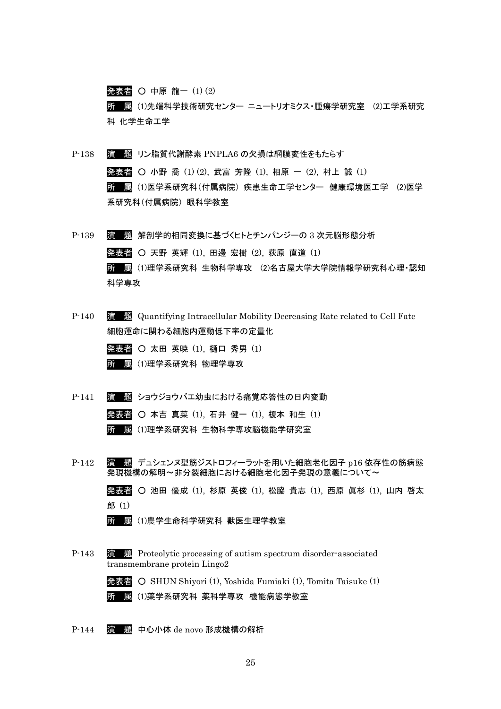発表者 〇 中原 龍一 (1) (2) 所 属 (1)先端科学技術研究センター ニュートリオミクス・腫瘍学研究室 (2)工学系研究 科 化学生命工学

- P-138 演 題 リン脂質代謝酵素 PNPLA6 の欠損は網膜変性をもたらす 発表者 ○ 小野 喬 (1) (2), 武富 芳隆 (1), 相原 一 (2), 村上 誠 (1) 所 属 (1)医学系研究科(付属病院) 疾患生命工学センター 健康環境医工学 (2)医学 系研究科(付属病院) 眼科学教室
- P-139 演 題 解剖学的相同変換に基づくヒトとチンパンジーの 3 次元脳形態分析 発表者 〇 天野 英輝 (1), 田邊 宏樹 (2), 荻原 直道 (1) 所 属 (1)理学系研究科 生物科学専攻 (2)名古屋大学大学院情報学研究科心理・認知 科学専攻
- P-140 演 題 Quantifying Intracellular Mobility Decreasing Rate related to Cell Fate 細胞運命に関わる細胞内運動低下率の定量化
	- 発表者 〇 太田 英暁 (1), 樋口 秀男 (1) 所 属 (1)理学系研究科 物理学専攻
- P-141 演 題 ショウジョウバエ幼虫における痛覚応答性の日内変動
	- 発表者 本吉 真菜 (1), 石井 健一 (1), 榎本 和生 (1)

所 属 (1)理学系研究科 生物科学専攻脳機能学研究室

P-142 演 題 デュシェンヌ型筋ジストロフィーラットを用いた細胞老化因子 p16 依存性の筋病態 発現機構の解明〜非分裂細胞における細胞老化因子発現の意義について〜

> 発表者 ○ 池田 優成 (1), 杉原 英俊 (1), 松脇 貴志 (1), 西原 眞杉 (1), 山内 啓太 郎 (1)

所 属 (1)農学生命科学研究科 獣医生理学教室

P-143 演 題 Proteolytic processing of autism spectrum disorder-associated transmembrane protein Lingo2

> 発表者 ○ SHUN Shiyori (1), Yoshida Fumiaki (1), Tomita Taisuke (1) 所 属 (1)薬学系研究科 薬科学専攻 機能病態学教室

P-144 演 題 中心小体 de novo 形成機構の解析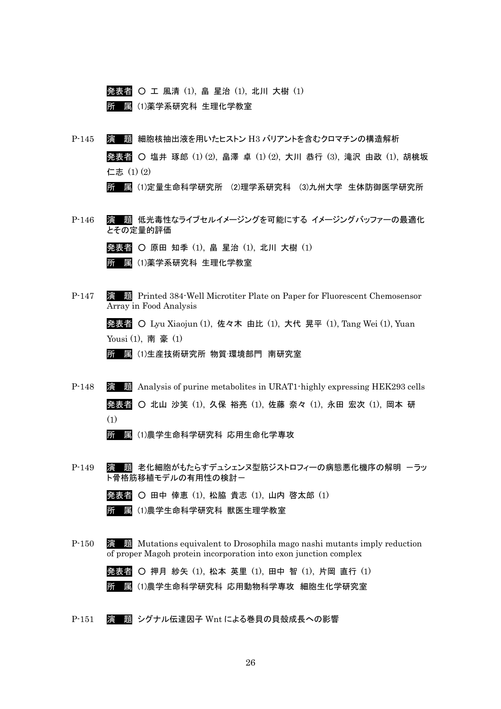発表者 ○ 工 風清 (1), 畠 星治 (1), 北川 大樹 (1) 所 属 (1)薬学系研究科 生理化学教室

P-145 演 題 細胞核抽出液を用いたヒストン H3 バリアントを含むクロマチンの構造解析 発表者 ○ 塩井 琢郎 (1) (2), 畠澤 卓 (1) (2), 大川 恭行 (3), 滝沢 由政 (1), 胡桃坂 仁志 (1) (2)

所 属 (1)定量生命科学研究所 (2)理学系研究科 (3)九州大学 生体防御医学研究所

P-146 演 題 低光毒性なライブセルイメージングを可能にする イメージングバッファーの最適化 とその定量的評価

発表者 ○ 原田 知季 (1), 畠 星治 (1), 北川 大樹 (1)

所 属 (1)薬学系研究科 生理化学教室

P-147 演 題 Printed 384-Well Microtiter Plate on Paper for Fluorescent Chemosensor Array in Food Analysis

> 発表者 ○ Lyu Xiaojun (1), 佐々木 由比 (1), 大代 晃平 (1), Tang Wei (1), Yuan Yousi (1), 南 豪 (1)

所 属 (1)生産技術研究所 物質·環境部門 南研究室

P-148 演 題 Analysis of purine metabolites in URAT1-highly expressing HEK293 cells 発表者 ○ 北山 沙笑 (1), 久保 裕亮 (1), 佐藤 奈々 (1), 永田 宏次 (1), 岡本 研 (1)

所 属 (1)農学生命科学研究科 応用生命化学専攻

P-149 履 題 老化細胞がもたらすデュシェンヌ型筋ジストロフィーの病態悪化機序の解明 ーラッ ト骨格筋移植モデルの有用性の検討ー

> 発表者 ○ 田中 倖恵 (1), 松脇 貴志 (1), 山内 啓太郎 (1) 所 属 (1)農学生命科学研究科 獣医生理学教室

P-150 演 題 Mutations equivalent to Drosophila mago nashi mutants imply reduction of proper Magoh protein incorporation into exon junction complex

> 発表者 ○ 押月 紗矢 (1), 松本 英里 (1), 田中 智 (1), 片岡 直行 (1) 所 属 (1)農学生命科学研究科 応用動物科学専攻 細胞生化学研究室

P-151 演 題 シグナル伝達因子 Wnt による巻貝の貝殻成長への影響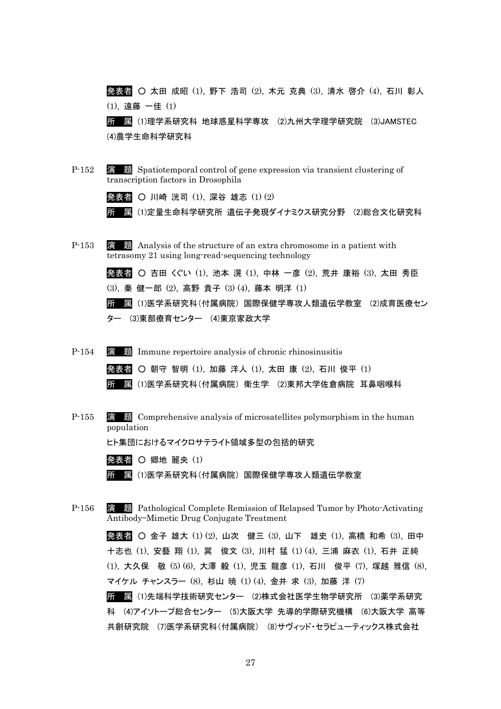発表者 ○ 太田 成昭 (1), 野下 浩司 (2), 木元 克典 (3), 清水 啓介 (4), 石川 彰人 (1), 遠藤 一佳 (1) 所 属 (1)理学系研究科 地球惑星科学専攻 (2)九州大学理学研究院 (3)JAMSTEC

(4)農学生命科学研究科

P-152 演 題 Spatiotemporal control of gene expression via transient clustering of transcription factors in Drosophila

発表者 ○ 川崎 洸司 (1), 深谷 雄志 (1) (2)

所 属 (1)定量生命科学研究所 遺伝子発現ダイナミクス研究分野 (2)総合文化研究科

P-153 演 題 Analysis of the structure of an extra chromosome in a patient with tetrasomy 21 using long-read-sequencing technology

> 発表者 ○ 吉田 くぐい (1), 池本 滉 (1), 中林 一彦 (2), 荒井 康裕 (3), 太田 秀臣 (3), 秦 健一郎 (2), 高野 貴子 (3) (4), 藤本 明洋 (1)

所 属 (1)医学系研究科(付属病院) 国際保健学専攻人類遺伝学教室 (2)成育医療セン ター (3)東部療育センター (4)東京家政大学

- P-154 演 題 Immune repertoire analysis of chronic rhinosinusitis 発表者 ○ 朝守 智明 (1), 加藤 洋人 (1), 太田 康 (2), 石川 俊平 (1) 所 属 (1)医学系研究科(付属病院) 衛生学 (2)東邦大学佐倉病院 耳鼻咽喉科
- P-155 演 題 Comprehensive analysis of microsatellites polymorphism in the human population

ヒト集団におけるマイクロサテライト領域多型の包括的研究

発表者 〇 郷地 麗央 (1)

所 属 (1)医学系研究科(付属病院) 国際保健学専攻人類遺伝学教室

P-156 演 題 Pathological Complete Remission of Relapsed Tumor by Photo-Activating Antibody–Mimetic Drug Conjugate Treatment

> 発表者 ○ 金子 雄大 (1) (2), 山次 健三 (3), 山下 雄史 (1), 高橋 和希 (3), 田中 十志也 (1), 安藝 翔 (1), 巽 俊文 (3), 川村 猛 (1) (4), 三浦 麻衣 (1), 石井 正純 (1), 大久保 敬 (5) (6), 大澤 毅 (1), 児玉 龍彦 (1), 石川 俊平 (7), 塚越 雅信 (8), マイケル チャンスラー (8), 杉山 暁 (1) (4), 金井 求 (3), 加藤 洋 (7)

> 所 属 (1)先端科学技術研究センター (2)株式会社医学生物学研究所 (3)薬学系研究 科 (4)アイソトープ総合センター (5)大阪大学 先導的学際研究機構 (6)大阪大学 高等 共創研究院 (7)医学系研究科(付属病院) (8)サヴィッド・セラピューティックス株式会社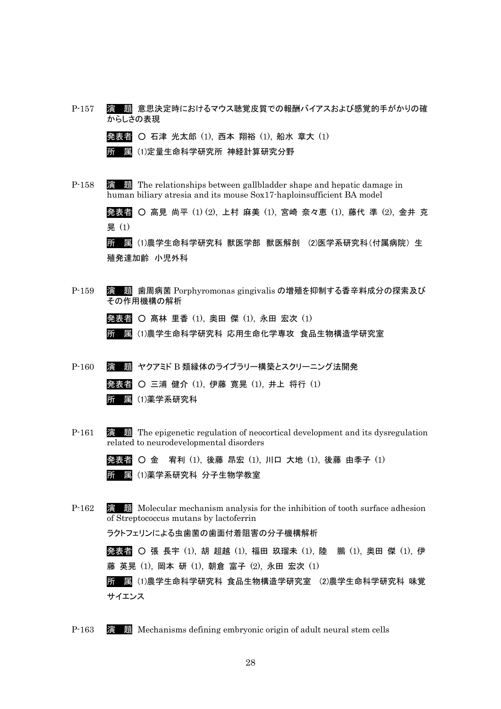P-157 演 題 意思決定時におけるマウス聴覚皮質での報酬バイアスおよび感覚的手がかりの確 からしさの表現

|  |  | <b>発表者 〇 石津 光太郎 ⑴, 西本 翔裕 ⑴, 船水 章大 ⑴</b> |  |  |  |  |
|--|--|-----------------------------------------|--|--|--|--|
|  |  | 所 属(1)定量生命科学研究所 神経計算研究分野                |  |  |  |  |

P-158 演 題 The relationships between gallbladder shape and hepatic damage in human biliary atresia and its mouse Sox17-haploinsufficient BA model

> 発表者 ○ 高見 尚平 (1) (2), 上村 麻美 (1), 宮崎 奈々恵 (1), 藤代 準 (2), 金井 克 晃 (1)

所 属 (1)農学生命科学研究科 獣医学部 獣医解剖 (2)医学系研究科(付属病院) 生 殖発達加齢 小児外科

P-159 演 題 歯周病菌 Porphyromonas gingivalis の増殖を抑制する香辛料成分の探索及び その作用機構の解析

発表者 ○ 髙林 里香 (1), 奥田 傑 (1), 永田 宏次 (1)

所 属 (1)農学生命科学研究科 応用生命化学専攻 食品生物構造学研究室

- P-160 演 題 ヤクアミド B 類縁体のライブラリー構築とスクリーニング法開発 発表者 ○ 三浦 健介 (1), 伊藤 寛晃 (1), 井上 将行 (1) 所 属 (1)薬学系研究科
- P-161 演 題 The epigenetic regulation of neocortical development and its dysregulation related to neurodevelopmental disorders

発表者 ○ 金 宥利 (1), 後藤 昂宏 (1), 川口 大地 (1), 後藤 由季子 (1) 所 属 (1)薬学系研究科 分子生物学教室

P-162 演 題 Molecular mechanism analysis for the inhibition of tooth surface adhesion of Streptococcus mutans by lactoferrin

ラクトフェリンによる虫歯菌の歯面付着阻害の分子機構解析

発表者 〇 張 長宇 (1), 胡 超越 (1), 福田 玖瑠未 (1), 陸 鵬 (1), 奥田 傑 (1), 伊 藤 英晃 (1), 岡本 研 (1), 朝倉 富子 (2), 永田 宏次 (1)

所 属 (1)農学生命科学研究科 食品生物構造学研究室 (2)農学生命科学研究科 味覚 サイエンス

P-163 演 題 Mechanisms defining embryonic origin of adult neural stem cells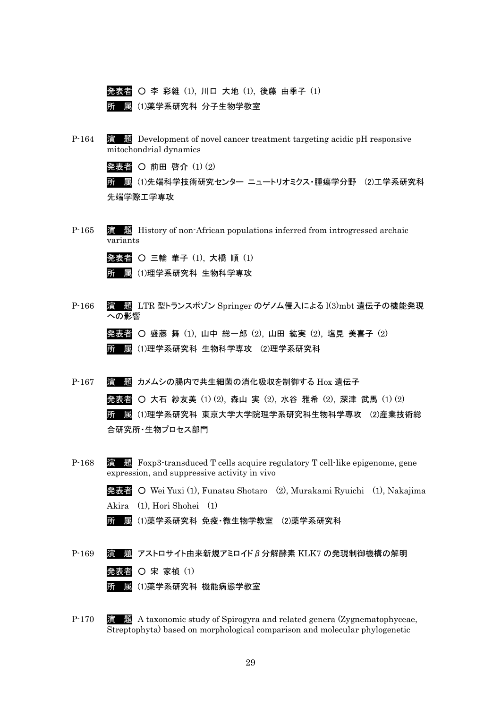

P-164 演 題 Development of novel cancer treatment targeting acidic pH responsive mitochondrial dynamics

発表者 〇 前田 啓介 (1) (2)

所 属 (1)先端科学技術研究センター ニュートリオミクス・腫瘍学分野 (2)工学系研究科 先端学際工学専攻

P-165 演 題 History of non-African populations inferred from introgressed archaic variants

|  |  |  | <b>発表者 〇 三輪 華子 (1), 大橋 順 (1)</b> |  |
|--|--|--|----------------------------------|--|
|  |  |  | 所 属 (1)理学系研究科 生物科学専攻             |  |

P-166 演 題 LTR 型トランスポゾン Springer のゲノム侵入による l(3)mbt 遺伝子の機能発現 への影響

> 発表者 ○ 盛藤 舞 (1), 山中 総一郎 (2), 山田 紘実 (2), 塩見 美喜子 (2) 所 属 (1)理学系研究科 生物科学専攻 (2)理学系研究科

P-167 演 題 カメムシの腸内で共生細菌の消化吸収を制御する Hox 遺伝子

発表者 ○ 大石 紗友美 (1) (2), 森山 実 (2), 水谷 雅希 (2), 深津 武馬 (1) (2) 所 属 (1)理学系研究科 東京大学大学院理学系研究科生物科学専攻 (2)産業技術総 合研究所・生物プロセス部門

P-168 演 題 Foxp3-transduced T cells acquire regulatory T cell-like epigenome, gene expression, and suppressive activity in vivo

> 発表者 ○ Wei Yuxi (1), Funatsu Shotaro (2), Murakami Ryuichi (1), Nakajima Akira (1), Hori Shohei (1)

- 所 属 (1)薬学系研究科 免疫・微生物学教室 (2)薬学系研究科
- $P-169$  演 題 アストロサイト由来新規アミロイドβ分解酵素 KLK7 の発現制御機構の解明 発表者 〇 宋 家禎 (1) 所 属 (1)薬学系研究科 機能病態学教室
- P-170 演 題 A taxonomic study of Spirogyra and related genera (Zygnematophyceae, Streptophyta) based on morphological comparison and molecular phylogenetic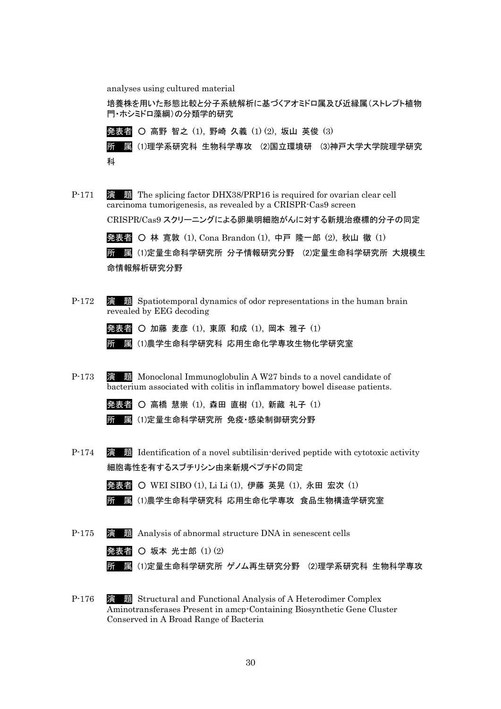analyses using cultured material

培養株を用いた形態比較と分子系統解析に基づくアオミドロ属及び近縁属(ストレプト植物 門・ホシミドロ藻綱)の分類学的研究

発表者 ○ 高野 智之 (1), 野崎 久義 (1) (2), 坂山 英俊 (3)

所 属 (1)理学系研究科 生物科学専攻 (2)国立環境研 (3)神戸大学大学院理学研究 科

P-171 演 題 The splicing factor DHX38/PRP16 is required for ovarian clear cell carcinoma tumorigenesis, as revealed by a CRISPR-Cas9 screen

CRISPR/Cas9 スクリーニングによる卵巣明細胞がんに対する新規治療標的分子の同定

発表者 〇 林 寛敦 (1), Cona Brandon (1), 中戸 隆一郎 (2), 秋山 徹 (1)

所 属 (1)定量生命科学研究所 分子情報研究分野 (2)定量生命科学研究所 大規模生 命情報解析研究分野

P-172 **演 題** Spatiotemporal dynamics of odor representations in the human brain revealed by EEG decoding

発表者 ○ 加藤 麦彦 (1), 東原 和成 (1), 岡本 雅子 (1)

所 属 (1)農学生命科学研究科 応用生命化学専攻生物化学研究室

P-173 演 題 Monoclonal Immunoglobulin A W27 binds to a novel candidate of bacterium associated with colitis in inflammatory bowel disease patients.

| <b>発表者 〇 高橋 慧崇 (1), 森田 直樹 (1), 新藏 礼子 (1)</b> |  |  |  |  |  |
|----------------------------------------------|--|--|--|--|--|
|                                              |  |  |  |  |  |

| 所 属(1)定量生命科学研究所 免疫·感染制御研究分野 |  |
|-----------------------------|--|
|-----------------------------|--|

P-174 演 題 Identification of a novel subtilisin-derived peptide with cytotoxic activity 細胞毒性を有するスブチリシン由来新規ペプチドの同定

発表者 ○ WEI SIBO (1), Li Li (1), 伊藤 英晃 (1), 永田 宏次 (1)

所 属 (1)農学生命科学研究科 応用生命化学専攻 食品生物構造学研究室

- P-175 演 題 Analysis of abnormal structure DNA in senescent cells 発表者 〇 坂本 光士郎 $(1)(2)$ 所 属 (1)定量生命科学研究所 ゲノム再生研究分野 (2)理学系研究科 生物科学専攻
- P-176 演 題 Structural and Functional Analysis of A Heterodimer Complex Aminotransferases Present in amcp-Containing Biosynthetic Gene Cluster Conserved in A Broad Range of Bacteria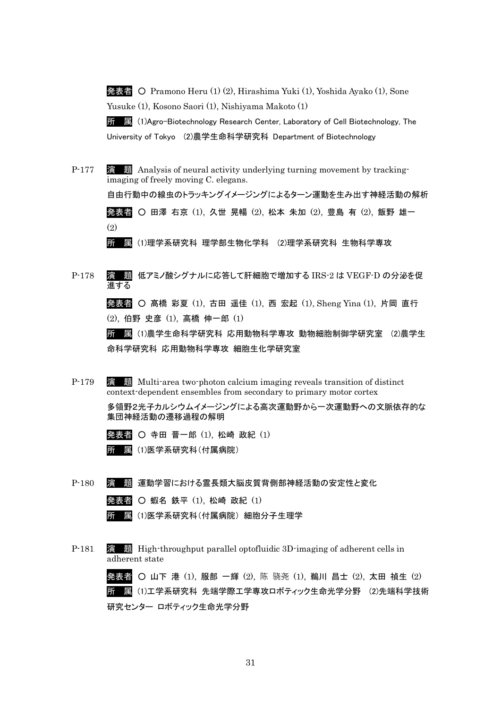発表者 ○ Pramono Heru (1) (2), Hirashima Yuki (1), Yoshida Ayako (1), Sone Yusuke (1), Kosono Saori (1), Nishiyama Makoto (1)

所 属 (1)Agro-Biotechnology Research Center, Laboratory of Cell Biotechnology, The University of Tokyo (2)農学生命科学研究科 Department of Biotechnology

- P-177 演 題 Analysis of neural activity underlying turning movement by trackingimaging of freely moving C. elegans. 自由行動中の線虫のトラッキングイメージングによるターン運動を生み出す神経活動の解析 発表者 ○ 田澤 右京 (1), 久世 晃暢 (2), 松本 朱加 (2), 豊島 有 (2), 飯野 雄一 (2) 所 属 (1)理学系研究科 理学部生物化学科 (2)理学系研究科 生物科学専攻
- P-178 演 題 低アミノ酸シグナルに応答して肝細胞で増加する IRS-2 は VEGF-D の分泌を促 進する 発表者 ○ 髙橋 彩夏 (1), 古田 遥佳 (1), 西 宏起 (1), Sheng Yina (1), 片岡 直行 (2), 伯野 史彦 (1), 高橋 伸一郎 (1)

所 属 (1)農学生命科学研究科 応用動物科学専攻 動物細胞制御学研究室 (2)農学生 命科学研究科 応用動物科学専攻 細胞生化学研究室

P-179 演 題 Multi-area two-photon calcium imaging reveals transition of distinct context-dependent ensembles from secondary to primary motor cortex

> 多領野2光子カルシウムイメージングによる高次運動野から一次運動野への文脈依存的な 集団神経活動の遷移過程の解明

- 発表者 寺田 晋一郎 (1), 松崎 政紀 (1) 所 属 (1)医学系研究科(付属病院)
- P-180 演 題 運動学習における霊長類大脳皮質背側部神経活動の安定性と変化

発表者 〇 蝦名 鉄平 (1), 松崎 政紀 (1)

所 属 (1)医学系研究科(付属病院) 細胞分子生理学

P-181 演 題 High-throughput parallel optofluidic 3D-imaging of adherent cells in adherent state

> 発表者 〇 山下 港 (1), 服部 一輝 (2), 陈 骁尧 (1), 鵜川 昌士 (2), 太田 禎生 (2) 所 属 (1)工学系研究科 先端学際工学専攻ロボティック生命光学分野 (2)先端科学技術 研究センター ロボティック生命光学分野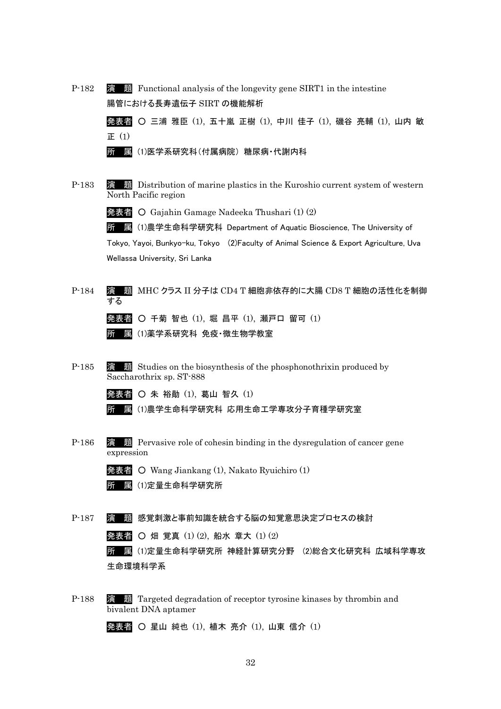| P-182 | 演 題 Functional analysis of the longevity gene SIRT1 in the intestine |  |  |  |  |
|-------|----------------------------------------------------------------------|--|--|--|--|
|       | 腸管における長寿遺伝子 SIRT の機能解析                                               |  |  |  |  |
|       | 発表者 〇 三浦 雅臣 (1), 五十嵐 正樹 (1), 中川 佳子 (1), 磯谷 亮輔 (1), 山内 敏              |  |  |  |  |
|       | 正 (1)                                                                |  |  |  |  |
|       | 扈(1)医学系研究科(付属病院)糖尿病·代謝内科<br>所                                        |  |  |  |  |
|       |                                                                      |  |  |  |  |

P-183 演 題 Distribution of marine plastics in the Kuroshio current system of western North Pacific region

発表者 ○ Gajahin Gamage Nadeeka Thushari (1) (2)

所 属 (1)農学生命科学研究科 Department of Aquatic Bioscience, The University of

Tokyo, Yayoi, Bunkyo-ku, Tokyo (2)Faculty of Animal Science & Export Agriculture, Uva Wellassa University, Sri Lanka

- P-184 演 題 MHC クラス II 分子は CD4 T 細胞非依存的に大腸 CD8 T 細胞の活性化を制御 する 発表者 ○ 千菊 智也 (1), 堀 昌平 (1), 瀬戸口 留可 (1) 所 属 (1)薬学系研究科 免疫・微生物学教室
- P-185 演 題 Studies on the biosynthesis of the phosphonothrixin produced by Saccharothrix sp. ST-888

発表者 ○ 朱 裕勛 (1), 葛山 智久 (1)

- 所 属 (1)農学生命科学研究科 応用生命工学専攻分子育種学研究室
- P-186 演 題 Pervasive role of cohesin binding in the dysregulation of cancer gene expression

発表者 ○ Wang Jiankang (1), Nakato Ryuichiro (1) 所 属 (1)定量生命科学研究所

P-187 演 題 感覚刺激と事前知識を統合する脳の知覚意思決定プロセスの検討

発表者 ○ 畑 覚真 (1) (2), 船水 章大 (1) (2)

所 属 (1)定量生命科学研究所 神経計算研究分野 (2)総合文化研究科 広域科学専攻 生命環境科学系

P-188 演 題 Targeted degradation of receptor tyrosine kinases by thrombin and bivalent DNA aptamer

発表者 〇 星山 純也 (1), 植木 亮介 (1), 山東 信介 (1)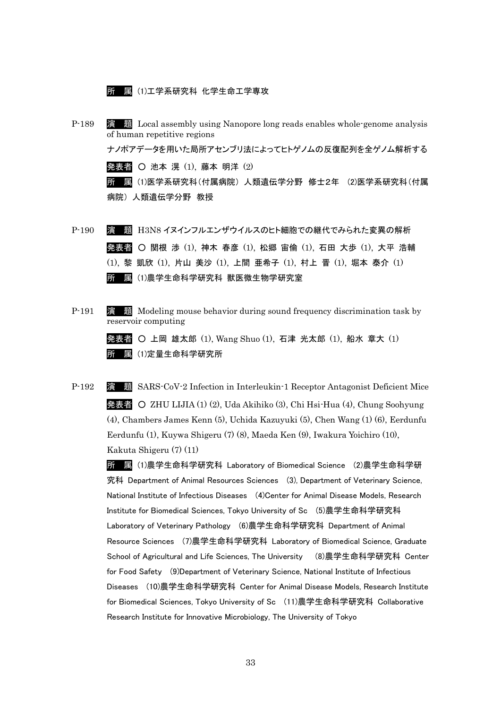所 属 (1)工学系研究科 化学生命工学専攻

- P-189 演 題 Local assembly using Nanopore long reads enables whole-genome analysis of human repetitive regions ナノポアデータを用いた局所アセンブリ法によってヒトゲノムの反復配列を全ゲノム解析する 発表者 ○ 池本 滉 (1), 藤本 明洋 (2) 所 属 (1)医学系研究科(付属病院) 人類遺伝学分野 修士2年 (2)医学系研究科(付属 病院) 人類遺伝学分野 教授
- P-190 演 題 H3N8 イヌインフルエンザウイルスのヒト細胞での継代でみられた変異の解析 発表者 〇 関根 渉 (1), 神木 春彦 (1), 松郷 宙倫 (1), 石田 大歩 (1), 大平 浩輔 (1), 黎 凱欣 (1), 片山 美沙 (1), 上間 亜希子 (1), 村上 晋 (1), 堀本 泰介 (1) 所 属 (1)農学生命科学研究科 獣医微生物学研究室
- P-191 演 題 Modeling mouse behavior during sound frequency discrimination task by reservoir computing

発表者 ○ 上岡 雄太郎 (1), Wang Shuo (1), 石津 光太郎 (1), 船水 章大 (1) 所 属 (1)定量生命科学研究所

P-192 演 題 SARS-CoV-2 Infection in Interleukin-1 Receptor Antagonist Deficient Mice 発表者 ○ ZHU LIJIA (1) (2), Uda Akihiko (3), Chi Hsi-Hua (4), Chung Soohyung (4), Chambers James Kenn (5), Uchida Kazuyuki (5), Chen Wang (1) (6), Eerdunfu Eerdunfu (1), Kuywa Shigeru (7) (8), Maeda Ken (9), Iwakura Yoichiro (10), Kakuta Shigeru (7) (11)

所 属 (1)農学生命科学研究科 Laboratory of Biomedical Science (2)農学生命科学研 究科 Department of Animal Resources Sciences (3), Department of Veterinary Science, National Institute of Infectious Diseases (4)Center for Animal Disease Models, Research Institute for Biomedical Sciences, Tokyo University of Sc (5)農学生命科学研究科 Laboratory of Veterinary Pathology (6)農学生命科学研究科 Department of Animal Resource Sciences (7)農学生命科学研究科 Laboratory of Biomedical Science, Graduate School of Agricultural and Life Sciences, The University (8)農学生命科学研究科 Center for Food Safety (9)Department of Veterinary Science, National Institute of Infectious Diseases (10)農学生命科学研究科 Center for Animal Disease Models, Research Institute for Biomedical Sciences, Tokyo University of Sc (11)農学生命科学研究科 Collaborative Research Institute for Innovative Microbiology, The University of Tokyo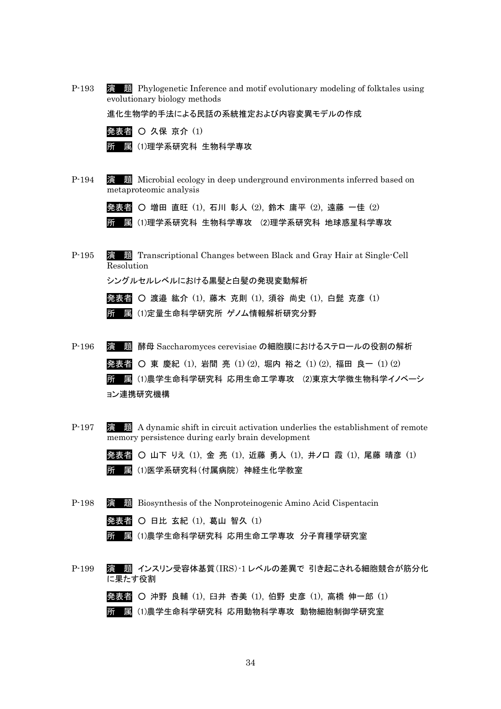P-193 演 題 Phylogenetic Inference and motif evolutionary modeling of folktales using evolutionary biology methods

進化生物学的手法による民話の系統推定および内容変異モデルの作成

| 発表者 〇 久保 京介 (1) |
|-----------------|
|-----------------|

所 属 (1)理学系研究科 生物科学専攻

P-194 演 題 Microbial ecology in deep underground environments inferred based on metaproteomic analysis

発表者 〇 増田 直旺 (1), 石川 彰人 (2), 鈴木 庸平 (2), 遠藤 一佳 (2)

- 所 属 (1)理学系研究科 生物科学専攻 (2)理学系研究科 地球惑星科学専攻
- P-195 演 題 Transcriptional Changes between Black and Gray Hair at Single-Cell Resolution

シングルセルレベルにおける黒髪と白髪の発現変動解析

発表者 ○ 渡邉 紘介 (1), 藤木 克則 (1), 須谷 尚史 (1), 白髭 克彦 (1) 所 属 (1)定量生命科学研究所 ゲノム情報解析研究分野

- P-196 演 題 酵母 Saccharomyces cerevisiae の細胞膜におけるステロールの役割の解析 発表者 ○ 東 慶紀 (1), 岩間 亮 (1) (2), 堀内 裕之 (1) (2), 福田 良一 (1) (2) 所 属 (1)農学生命科学研究科 応用生命工学専攻 (2)東京大学微生物科学イノベーシ ョン連携研究機構
- P-197 演 題 A dynamic shift in circuit activation underlies the establishment of remote memory persistence during early brain development

発表者 ○ 山下 りえ (1), 金 亮 (1), 近藤 勇人 (1), 井ノ口 霞 (1), 尾藤 晴彦 (1) 所 属 (1)医学系研究科(付属病院) 神経生化学教室

P-198 演 題 Biosynthesis of the Nonproteinogenic Amino Acid Cispentacin

| 発表者 〇 日比 玄紀 (1), 葛山 智久 (1) |  |  |  |  |  |  |  |
|----------------------------|--|--|--|--|--|--|--|
|----------------------------|--|--|--|--|--|--|--|

- 所 属 (1)農学生命科学研究科 応用生命工学専攻 分子育種学研究室
- P-199 演 題 インスリン受容体基質(IRS)-1 レベルの差異で 引き起こされる細胞競合が筋分化 に果たす役割

発表者 ○ 沖野 良輔 (1), 臼井 杏美 (1), 伯野 史彦 (1), 高橋 伸一郎 (1) 所 属 (1)農学生命科学研究科 応用動物科学専攻 動物細胞制御学研究室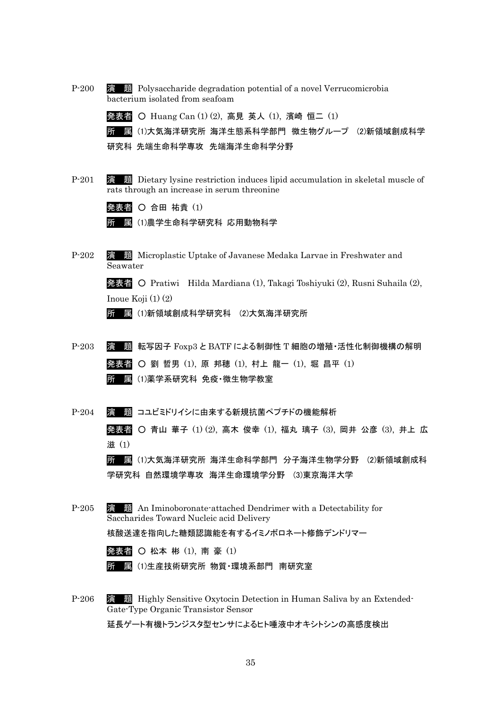| $P-200$ | 演 題 Polysaccharide degradation potential of a novel Verrucomicrobia<br>bacterium isolated from seafoam                         |
|---------|--------------------------------------------------------------------------------------------------------------------------------|
|         | 発表者 〇 Huang Can (1) (2), 高見 英人 (1), 濱崎 恒二 (1)                                                                                  |
|         | (1)大気海洋研究所 海洋生態系科学部門 微生物グループ (2)新領域創成科学<br>所<br>属                                                                              |
|         | 研究科 先端生命科学専攻 先端海洋生命科学分野                                                                                                        |
| $P-201$ | 演 題 Dietary lysine restriction induces lipid accumulation in skeletal muscle of<br>rats through an increase in serum threonine |
|         | 発表者 〇 合田 祐貴 (1)                                                                                                                |
|         | (1)農学生命科学研究科 応用動物科学<br>屭                                                                                                       |
| $P-202$ | 題 Microplastic Uptake of Javanese Medaka Larvae in Freshwater and<br>演<br>Seawater                                             |
|         | 発表者 O Pratiwi Hilda Mardiana (1), Takagi Toshiyuki (2), Rusni Suhaila (2),                                                     |
|         | Inoue Koji $(1)$ $(2)$                                                                                                         |
|         | (1)新領域創成科学研究科 (2)大気海洋研究所<br>所<br>屭                                                                                             |
| $P-203$ | 転写因子 Foxp3 と BATF による制御性 T 細胞の増殖・活性化制御機構の解明<br>題<br>演                                                                          |
|         | 発表者 ○ 劉 哲男 (1), 原 邦穂 (1), 村上 龍一 (1), 堀 昌平 (1)                                                                                  |
|         | 圜(1)薬学系研究科 免疫·微生物学教室<br>所                                                                                                      |
| $P-204$ | 題 コユビミドリイシに由来する新規抗菌ペプチドの機能解析<br>澑                                                                                              |
|         | <b>発表者 〇 青山 華子 (1)(2), 高木 俊幸 (1), 福丸 璃子 (3), 岡井 公彦 (3), 井上 広</b><br>滋(1)                                                       |
|         | 所 属 (1)大気海洋研究所 海洋生命科学部門 分子海洋生物学分野 (2)新領域創成科                                                                                    |
|         | 学研究科 自然環境学専攻 海洋生命環境学分野 (3)東京海洋大学                                                                                               |
| $P-205$ | 演 題 An Iminoboronate-attached Dendrimer with a Detectability for<br>Saccharides Toward Nucleic acid Delivery                   |
|         | 核酸送達を指向した糖類認識能を有するイミノボロネート修飾デンドリマー                                                                                             |
|         | 発表者 〇 松本 彬 (1), 南 豪 (1)                                                                                                        |
|         | <u>屬</u> (1)生産技術研究所 物質 環境系部門 南研究室<br>所                                                                                         |
| $P-206$ | 演 題 Highly Sensitive Oxytocin Detection in Human Saliva by an Extended<br>Gate-Type Organic Transistor Sensor                  |
|         | 延長ゲート有機トランジスタ型センサによるヒト唾液中オキシトシンの高感度検出                                                                                          |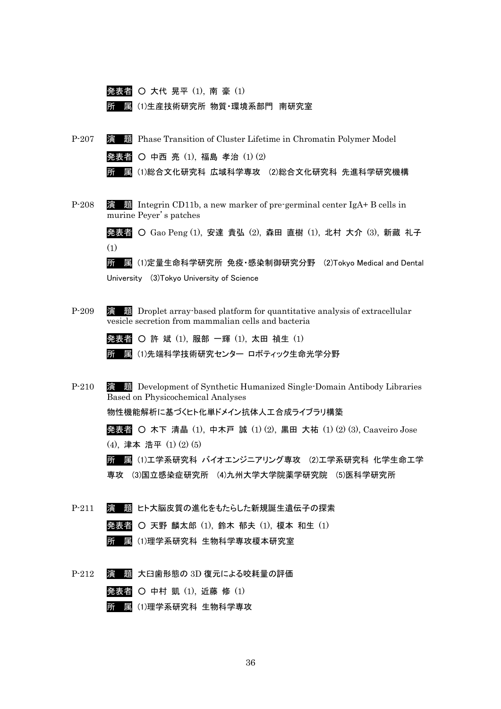

- P-209 演 題 Droplet array-based platform for quantitative analysis of extracellular vesicle secretion from mammalian cells and bacteria
	- 発表者 許 斌 (1), 服部 一輝 (1), 太田 禎生 (1)
	- 所 属 (1)先端科学技術研究センター ロボティック生命光学分野
- P-210 演 題 Development of Synthetic Humanized Single-Domain Antibody Libraries Based on Physicochemical Analyses 物性機能解析に基づくヒト化単ドメイン抗体人工合成ライブラリ構築

発表者 ○ 木下 清晶 (1), 中木戸 誠 (1) (2), 黒田 大祐 (1) (2) (3), Caaveiro Jose (4), 津本 浩平 (1) (2) (5)

所 属 (1)工学系研究科 バイオエンジニアリング専攻 (2)工学系研究科 化学生命工学 専攻 (3)国立感染症研究所 (4)九州大学大学院薬学研究院 (5)医科学研究所

P-211 演 題 ヒト大脳皮質の進化をもたらした新規誕生遺伝子の探索

|  | 発表者 〇 天野 麟太郎 (1), 鈴木 郁夫 (1), 榎本 和生 (1) |  |  |  |  |
|--|----------------------------------------|--|--|--|--|
|  |                                        |  |  |  |  |

- 所 属 (1)理学系研究科 生物科学専攻榎本研究室
- P-212 演 題 大臼歯形態の 3D 復元による咬耗量の評価
	- 発表者 中村 凱 (1), 近藤 修 (1)
		- 所 属 (1)理学系研究科 生物科学専攻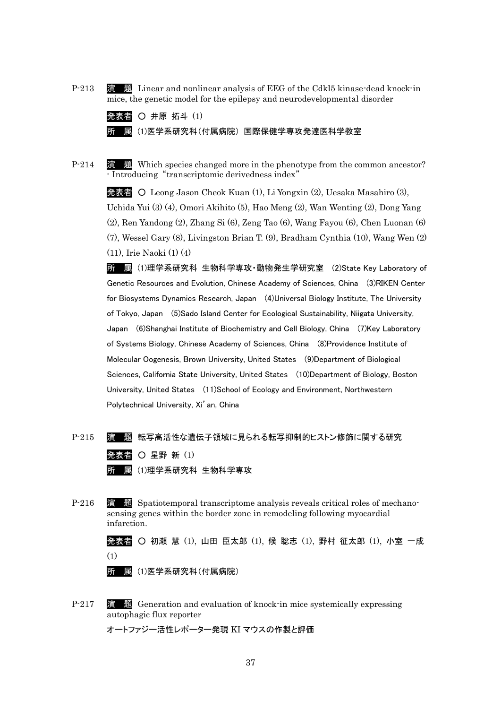P-213 演 題 Linear and nonlinear analysis of EEG of the Cdkl5 kinase-dead knock-in mice, the genetic model for the epilepsy and neurodevelopmental disorder

| 発表者 O 井原 拓斗 (1) |                                     |
|-----------------|-------------------------------------|
|                 | 所■ 鳳 (1)医学系研究科(付属病院) 国際保健学専攻発達医科学教室 |

P-214 演 題 Which species changed more in the phenotype from the common ancestor? - Introducing "transcriptomic derivedness index"

発表者 ○ Leong Jason Cheok Kuan (1), Li Yongxin (2), Uesaka Masahiro (3), Uchida Yui (3) (4), Omori Akihito (5), Hao Meng (2), Wan Wenting (2), Dong Yang (2), Ren Yandong (2), Zhang Si (6), Zeng Tao (6), Wang Fayou (6), Chen Luonan (6) (7), Wessel Gary (8), Livingston Brian T. (9), Bradham Cynthia (10), Wang Wen (2) (11), Irie Naoki (1) (4)

所 属 (1)理学系研究科 生物科学専攻・動物発生学研究室 (2)State Key Laboratory of Genetic Resources and Evolution, Chinese Academy of Sciences, China (3)RIKEN Center for Biosystems Dynamics Research, Japan (4)Universal Biology Institute, The University of Tokyo, Japan (5)Sado Island Center for Ecological Sustainability, Niigata University, Japan (6)Shanghai Institute of Biochemistry and Cell Biology, China (7)Key Laboratory of Systems Biology, Chinese Academy of Sciences, China (8)Providence Institute of Molecular Oogenesis, Brown University, United States (9)Department of Biological Sciences, California State University, United States (10)Department of Biology, Boston University, United States (11)School of Ecology and Environment, Northwestern Polytechnical University, Xi'an, China

- P-215 演 題 転写高活性な遺伝子領域に見られる転写抑制的ヒストン修飾に関する研究 発表者 〇 星野 新 (1) 所 属 (1)理学系研究科 生物科学専攻
- P-216 演 題 Spatiotemporal transcriptome analysis reveals critical roles of mechanosensing genes within the border zone in remodeling following myocardial infarction.

発表者 ○ 初瀬 慧 (1), 山田 臣太郎 (1), 候 聡志 (1), 野村 征太郎 (1), 小室 一成 (1)

- 所 属 (1)医学系研究科(付属病院)
- P-217 演 題 Generation and evaluation of knock-in mice systemically expressing autophagic flux reporter

オートファジー活性レポーター発現 KI マウスの作製と評価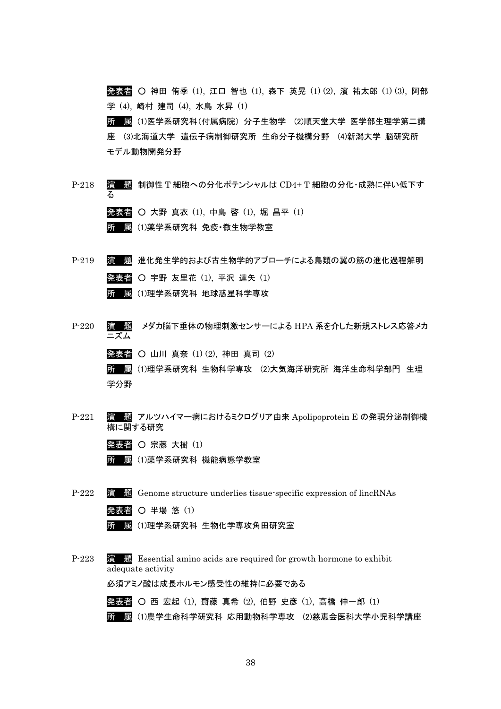発表者 ○ 神田 侑季 (1), 江口 智也 (1), 森下 英晃 (1) (2), 濱 祐太郎 (1) (3), 阿部 学 (4), 崎村 建司 (4), 水島 水昇 (1)

所 属 (1)医学系研究科(付属病院) 分子生物学 (2)順天堂大学 医学部生理学第二講 座 (3)北海道大学 遺伝子病制御研究所 生命分子機構分野 (4)新潟大学 脳研究所 モデル動物開発分野

- P-218 演 題 制御性 T 細胞への分化ポテンシャルは CD4+ T 細胞の分化・成熟に伴い低下す る 発表者 ○ 大野 真衣 (1), 中島 啓 (1), 堀 昌平 (1) 所 属 (1)薬学系研究科 免疫・微生物学教室
- P-219 演 題 進化発生学的および古生物学的アプローチによる鳥類の翼の筋の進化過程解明 発表者 ○ 宇野 友里花 (1), 平沢 達矢 (1) 所 属 (1)理学系研究科 地球惑星科学専攻
- P-220 演 題 メダカ脳下垂体の物理刺激センサーによる HPA 系を介した新規ストレス応答メカ ニズム 発表者 ○ 山川 真奈 (1) (2), 神田 真司 (2) 所 属 (1)理学系研究科 生物科学専攻 (2)大気海洋研究所 海洋生命科学部門 生理 学分野
- P-221 演 題 アルツハイマー病におけるミクログリア由来 Apolipoprotein E の発現分泌制御機 構に関する研究
	- 発表者 宗藤 大樹 (1)
	- 所 属 (1)薬学系研究科 機能病態学教室
- P-222 演 題 Genome structure underlies tissue-specific expression of lincRNAs 発表者 〇 半場 悠 (1)
	- 所 属 (1)理学系研究科 生物化学専攻角田研究室
- P-223 演 題 Essential amino acids are required for growth hormone to exhibit adequate activity

必須アミノ酸は成長ホルモン感受性の維持に必要である

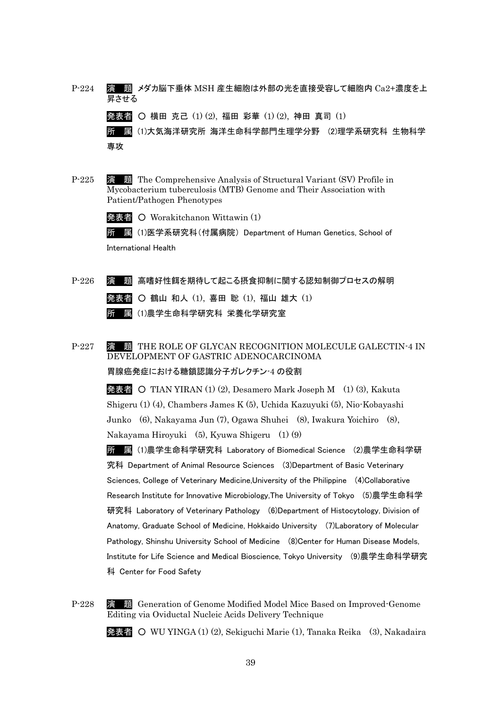- P-224 演 題 メダカ脳下垂体 MSH 産生細胞は外部の光を直接受容して細胞内 Ca2+濃度を上 昇させる 発表者 ○ 横田 克己 (1) (2), 福田 彩華 (1) (2), 神田 真司 (1) 所 属 (1)大気海洋研究所 海洋生命科学部門生理学分野 (2)理学系研究科 生物科学 専攻
- P-225 演 題 The Comprehensive Analysis of Structural Variant (SV) Profile in Mycobacterium tuberculosis (MTB) Genome and Their Association with Patient/Pathogen Phenotypes

発表者 ○ Worakitchanon Wittawin (1)

所 属 (1)医学系研究科(付属病院) Department of Human Genetics, School of International Health

- P-226 演 題 高嗜好性餌を期待して起こる摂食抑制に関する認知制御プロセスの解明 発表者 ○ 鶴山 和人 (1), 喜田 聡 (1), 福山 雄大 (1) 所 属 (1)農学生命科学研究科 栄養化学研究室
- P-227 演題 THE ROLE OF GLYCAN RECOGNITION MOLECULE GALECTIN-4 IN DEVELOPMENT OF GASTRIC ADENOCARCINOMA 胃腺癌発症における糖鎖認識分子ガレクチン-4 の役割

発表者 ○ TIAN YIRAN (1) (2), Desamero Mark Joseph M (1) (3), Kakuta Shigeru (1) (4), Chambers James K (5), Uchida Kazuyuki (5), Nio-Kobayashi Junko (6), Nakayama Jun (7), Ogawa Shuhei (8), Iwakura Yoichiro (8), Nakayama Hiroyuki (5), Kyuwa Shigeru (1) (9)

所 属 (1)農学生命科学研究科 Laboratory of Biomedical Science (2)農学生命科学研 究科 Department of Animal Resource Sciences (3)Department of Basic Veterinary Sciences, College of Veterinary Medicine,University of the Philippine (4)Collaborative Research Institute for Innovative Microbiology,The University of Tokyo (5)農学生命科学 研究科 Laboratory of Veterinary Pathology (6)Department of Histocytology, Division of Anatomy, Graduate School of Medicine, Hokkaido University (7)Laboratory of Molecular Pathology, Shinshu University School of Medicine (8)Center for Human Disease Models, Institute for Life Science and Medical Bioscience, Tokyo University (9)農学生命科学研究 科 Center for Food Safety

P-228 演 題 Generation of Genome Modified Model Mice Based on Improved-Genome Editing via Oviductal Nucleic Acids Delivery Technique

発表者 ○ WU YINGA (1) (2), Sekiguchi Marie (1), Tanaka Reika (3), Nakadaira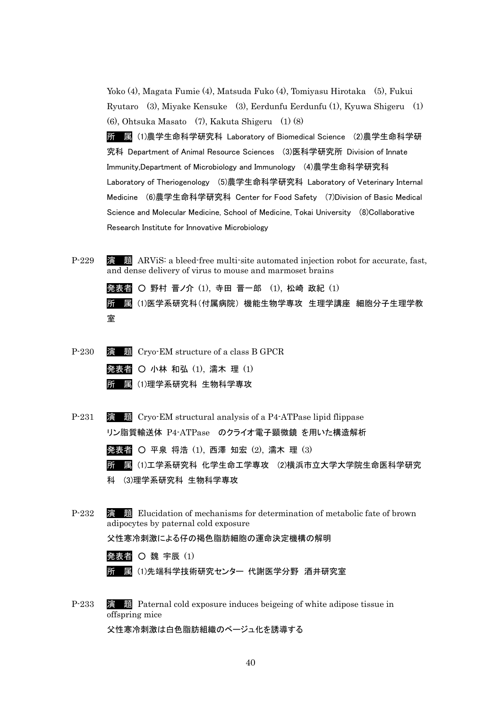Yoko (4), Magata Fumie (4), Matsuda Fuko (4), Tomiyasu Hirotaka (5), Fukui Ryutaro (3), Miyake Kensuke (3), Eerdunfu Eerdunfu (1), Kyuwa Shigeru (1) (6), Ohtsuka Masato (7), Kakuta Shigeru (1) (8)

所 属 (1)農学生命科学研究科 Laboratory of Biomedical Science (2)農学生命科学研 究科 Department of Animal Resource Sciences (3)医科学研究所 Division of Innate Immunity,Department of Microbiology and Immunology (4)農学生命科学研究科 Laboratory of Theriogenology (5)農学生命科学研究科 Laboratory of Veterinary Internal Medicine (6)農学生命科学研究科 Center for Food Safety (7)Division of Basic Medical Science and Molecular Medicine, School of Medicine, Tokai University (8)Collaborative Research Institute for Innovative Microbiology

P-229 演 題 ARViS: a bleed-free multi-site automated injection robot for accurate, fast, and dense delivery of virus to mouse and marmoset brains

発表者 ○ 野村 晋ノ介 (1), 寺田 晋一郎 (1), 松崎 政紀 (1) 所 属 (1)医学系研究科(付属病院) 機能生物学専攻 生理学講座 細胞分子生理学教 室

- P-230 演 題 Cryo-EM structure of a class B GPCR 発表者 〇 小林 和弘 (1), 濡木 理 (1) 所 属 (1)理学系研究科 生物科学専攻
- P-231 演 題 Cryo-EM structural analysis of a P4-ATPase lipid flippase リン脂質輸送体 P4-ATPase のクライオ電子顕微鏡 を用いた構造解析 発表者 ○ 平泉 将浩 (1), 西澤 知宏 (2), 濡木 理 (3)

所 属 (1)工学系研究科 化学生命工学専攻 (2)横浜市立大学大学院生命医科学研究

- 科 (3)理学系研究科 生物科学専攻
- P-232 演 題 Elucidation of mechanisms for determination of metabolic fate of brown adipocytes by paternal cold exposure

父性寒冷刺激による仔の褐色脂肪細胞の運命決定機構の解明

発表者 〇 魏 宇辰 (1)

所 属 (1)先端科学技術研究センター 代謝医学分野 酒井研究室

P-233 演 題 Paternal cold exposure induces beigeing of white adipose tissue in offspring mice

父性寒冷刺激は白色脂肪組織のベージュ化を誘導する